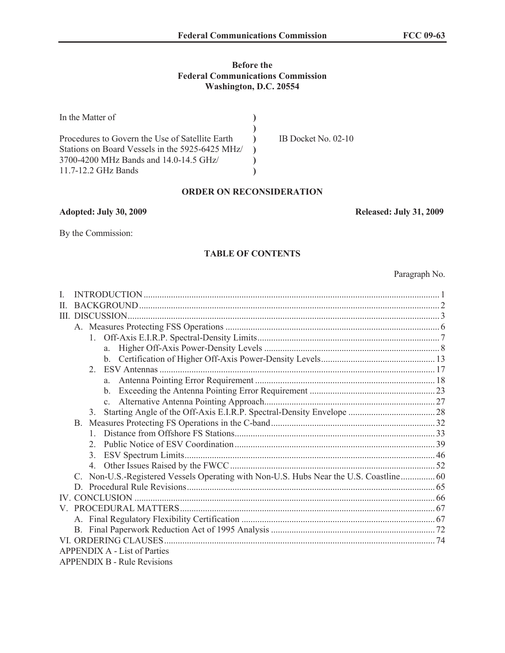## **Before the Federal Communications Commission Washington, D.C. 20554**

| In the Matter of                                |                     |
|-------------------------------------------------|---------------------|
|                                                 |                     |
| Procedures to Govern the Use of Satellite Earth | IB Docket No. 02-10 |
| Stations on Board Vessels in the 5925-6425 MHz/ |                     |
| 3700-4200 MHz Bands and 14.0-14.5 GHz/          |                     |
| 11.7-12.2 GHz Bands                             |                     |

# **ORDER ON RECONSIDERATION**

**Adopted: July 30, 2009 Released: July 31, 2009**

By the Commission:

## **TABLE OF CONTENTS**

Paragraph No.

| H |                                                                                     |    |
|---|-------------------------------------------------------------------------------------|----|
|   |                                                                                     |    |
|   |                                                                                     |    |
|   |                                                                                     |    |
|   | a                                                                                   |    |
|   |                                                                                     |    |
|   | $2^{\circ}$                                                                         |    |
|   | a                                                                                   |    |
|   |                                                                                     |    |
|   | $\mathbf{c}$                                                                        |    |
|   | $\mathcal{E}$                                                                       |    |
|   | B.                                                                                  |    |
|   |                                                                                     |    |
|   |                                                                                     |    |
|   |                                                                                     |    |
|   |                                                                                     |    |
|   | Non-U.S.-Registered Vessels Operating with Non-U.S. Hubs Near the U.S. Coastline 60 |    |
|   | D                                                                                   |    |
|   |                                                                                     |    |
|   |                                                                                     |    |
|   |                                                                                     |    |
|   |                                                                                     |    |
|   |                                                                                     | 74 |
|   | <b>APPENDIX A - List of Parties</b>                                                 |    |
|   | <b>APPENDIX B - Rule Revisions</b>                                                  |    |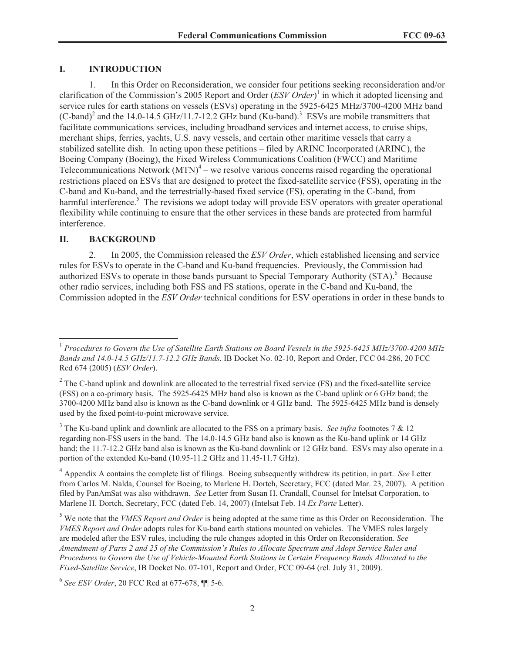## **I. INTRODUCTION**

1. In this Order on Reconsideration, we consider four petitions seeking reconsideration and/or clarification of the Commission's 2005 Report and Order (*ESV Order*) 1 in which it adopted licensing and service rules for earth stations on vessels (ESVs) operating in the 5925-6425 MHz/3700-4200 MHz band (C-band)<sup>2</sup> and the 14.0-14.5 GHz/11.7-12.2 GHz band (Ku-band).<sup>3</sup> ESVs are mobile transmitters that facilitate communications services, including broadband services and internet access, to cruise ships, merchant ships, ferries, yachts, U.S. navy vessels, and certain other maritime vessels that carry a stabilized satellite dish. In acting upon these petitions – filed by ARINC Incorporated (ARINC), the Boeing Company (Boeing), the Fixed Wireless Communications Coalition (FWCC) and Maritime Telecommunications Network  $(MTN)^4$  – we resolve various concerns raised regarding the operational restrictions placed on ESVs that are designed to protect the fixed-satellite service (FSS), operating in the C-band and Ku-band, and the terrestrially-based fixed service (FS), operating in the C-band, from harmful interference.<sup>5</sup> The revisions we adopt today will provide ESV operators with greater operational flexibility while continuing to ensure that the other services in these bands are protected from harmful interference.

#### **II. BACKGROUND**

2. In 2005, the Commission released the *ESV Order*, which established licensing and service rules for ESVs to operate in the C-band and Ku-band frequencies. Previously, the Commission had authorized ESVs to operate in those bands pursuant to Special Temporary Authority (STA).<sup>6</sup> Because other radio services, including both FSS and FS stations, operate in the C-band and Ku-band, the Commission adopted in the *ESV Order* technical conditions for ESV operations in order in these bands to

<sup>3</sup> The Ku-band uplink and downlink are allocated to the FSS on a primary basis. *See infra* footnotes 7 & 12 regarding non-FSS users in the band. The 14.0-14.5 GHz band also is known as the Ku-band uplink or 14 GHz band; the 11.7-12.2 GHz band also is known as the Ku-band downlink or 12 GHz band. ESVs may also operate in a portion of the extended Ku-band (10.95-11.2 GHz and 11.45-11.7 GHz).

<sup>4</sup> Appendix A contains the complete list of filings. Boeing subsequently withdrew its petition, in part. *See* Letter from Carlos M. Nalda, Counsel for Boeing, to Marlene H. Dortch, Secretary, FCC (dated Mar. 23, 2007). A petition filed by PanAmSat was also withdrawn. *See* Letter from Susan H. Crandall, Counsel for Intelsat Corporation, to Marlene H. Dortch, Secretary, FCC (dated Feb. 14, 2007) (Intelsat Feb. 14 *Ex Parte* Letter).

<sup>5</sup> We note that the *VMES Report and Order* is being adopted at the same time as this Order on Reconsideration. The *VMES Report and Order* adopts rules for Ku-band earth stations mounted on vehicles. The VMES rules largely are modeled after the ESV rules, including the rule changes adopted in this Order on Reconsideration. *See Amendment of Parts 2 and 25 of the Commission's Rules to Allocate Spectrum and Adopt Service Rules and Procedures to Govern the Use of Vehicle-Mounted Earth Stations in Certain Frequency Bands Allocated to the Fixed-Satellite Service*, IB Docket No. 07-101, Report and Order, FCC 09-64 (rel. July 31, 2009).

6 *See ESV Order*, 20 FCC Rcd at 677-678, ¶¶ 5-6.

<sup>&</sup>lt;sup>1</sup> Procedures to Govern the Use of Satellite Earth Stations on Board Vessels in the 5925-6425 MHz/3700-4200 MHz *Bands and 14.0-14.5 GHz/11.7-12.2 GHz Bands*, IB Docket No. 02-10, Report and Order, FCC 04-286, 20 FCC Rcd 674 (2005) (*ESV Order*).

 $2^2$  The C-band uplink and downlink are allocated to the terrestrial fixed service (FS) and the fixed-satellite service (FSS) on a co-primary basis. The 5925-6425 MHz band also is known as the C-band uplink or 6 GHz band; the 3700-4200 MHz band also is known as the C-band downlink or 4 GHz band. The 5925-6425 MHz band is densely used by the fixed point-to-point microwave service.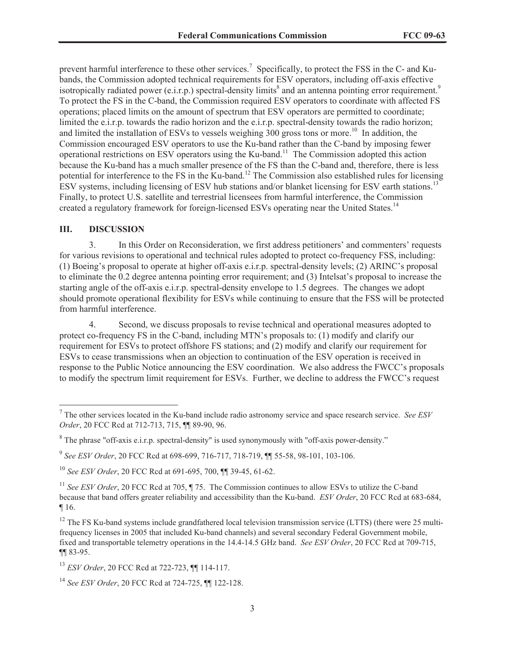prevent harmful interference to these other services.<sup>7</sup> Specifically, to protect the FSS in the C- and Kubands, the Commission adopted technical requirements for ESV operators, including off-axis effective isotropically radiated power (e.i.r.p.) spectral-density limits<sup>8</sup> and an antenna pointing error requirement.<sup>9</sup> To protect the FS in the C-band, the Commission required ESV operators to coordinate with affected FS operations; placed limits on the amount of spectrum that ESV operators are permitted to coordinate; limited the e.i.r.p. towards the radio horizon and the e.i.r.p. spectral-density towards the radio horizon; and limited the installation of ESVs to vessels weighing  $300$  gross tons or more.<sup>10</sup> In addition, the Commission encouraged ESV operators to use the Ku-band rather than the C-band by imposing fewer operational restrictions on ESV operators using the Ku-band.<sup>11</sup> The Commission adopted this action because the Ku-band has a much smaller presence of the FS than the C-band and, therefore, there is less potential for interference to the FS in the Ku-band.<sup>12</sup> The Commission also established rules for licensing ESV systems, including licensing of ESV hub stations and/or blanket licensing for ESV earth stations.<sup>13</sup> Finally, to protect U.S. satellite and terrestrial licensees from harmful interference, the Commission created a regulatory framework for foreign-licensed ESVs operating near the United States.<sup>14</sup>

## **III. DISCUSSION**

3. In this Order on Reconsideration, we first address petitioners' and commenters' requests for various revisions to operational and technical rules adopted to protect co-frequency FSS, including: (1) Boeing's proposal to operate at higher off-axis e.i.r.p. spectral-density levels; (2) ARINC's proposal to eliminate the 0.2 degree antenna pointing error requirement; and (3) Intelsat's proposal to increase the starting angle of the off-axis e.i.r.p. spectral-density envelope to 1.5 degrees. The changes we adopt should promote operational flexibility for ESVs while continuing to ensure that the FSS will be protected from harmful interference.

4. Second, we discuss proposals to revise technical and operational measures adopted to protect co-frequency FS in the C-band, including MTN's proposals to: (1) modify and clarify our requirement for ESVs to protect offshore FS stations; and (2) modify and clarify our requirement for ESVs to cease transmissions when an objection to continuation of the ESV operation is received in response to the Public Notice announcing the ESV coordination. We also address the FWCC's proposals to modify the spectrum limit requirement for ESVs. Further, we decline to address the FWCC's request

<sup>7</sup> The other services located in the Ku-band include radio astronomy service and space research service. *See ESV Order*, 20 FCC Rcd at 712-713, 715, ¶¶ 89-90, 96.

 $8$  The phrase "off-axis e.i.r.p. spectral-density" is used synonymously with "off-axis power-density."

<sup>9</sup> *See ESV Order*, 20 FCC Rcd at 698-699, 716-717, 718-719, ¶¶ 55-58, 98-101, 103-106.

<sup>10</sup> *See ESV Order*, 20 FCC Rcd at 691-695, 700, ¶¶ 39-45, 61-62.

<sup>&</sup>lt;sup>11</sup> *See ESV Order*, 20 FCC Rcd at 705, ¶ 75. The Commission continues to allow ESVs to utilize the C-band because that band offers greater reliability and accessibility than the Ku-band. *ESV Order*, 20 FCC Rcd at 683-684, ¶ 16.

 $12$  The FS Ku-band systems include grandfathered local television transmission service (LTTS) (there were 25 multifrequency licenses in 2005 that included Ku-band channels) and several secondary Federal Government mobile, fixed and transportable telemetry operations in the 14.4-14.5 GHz band. *See ESV Order*, 20 FCC Rcd at 709-715, ¶¶ 83-95.

<sup>13</sup> *ESV Order*, 20 FCC Rcd at 722-723, ¶¶ 114-117.

<sup>14</sup> *See ESV Order*, 20 FCC Rcd at 724-725, ¶¶ 122-128.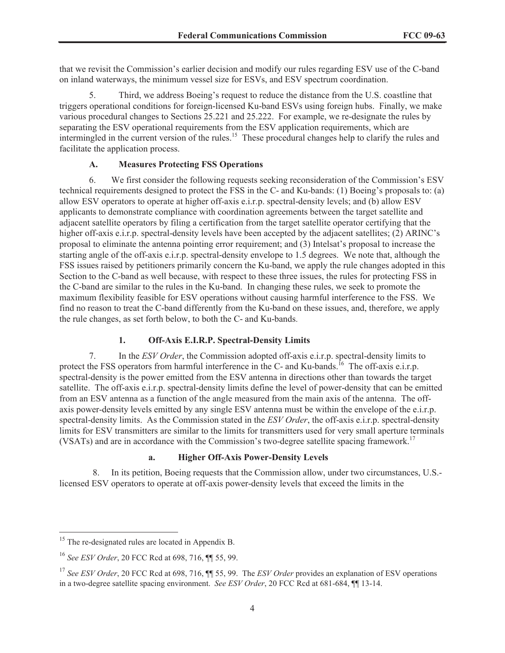that we revisit the Commission's earlier decision and modify our rules regarding ESV use of the C-band on inland waterways, the minimum vessel size for ESVs, and ESV spectrum coordination.

5. Third, we address Boeing's request to reduce the distance from the U.S. coastline that triggers operational conditions for foreign-licensed Ku-band ESVs using foreign hubs. Finally, we make various procedural changes to Sections 25.221 and 25.222. For example, we re-designate the rules by separating the ESV operational requirements from the ESV application requirements, which are intermingled in the current version of the rules.<sup>15</sup> These procedural changes help to clarify the rules and facilitate the application process.

# **A. Measures Protecting FSS Operations**

6. We first consider the following requests seeking reconsideration of the Commission's ESV technical requirements designed to protect the FSS in the C- and Ku-bands: (1) Boeing's proposals to: (a) allow ESV operators to operate at higher off-axis e.i.r.p. spectral-density levels; and (b) allow ESV applicants to demonstrate compliance with coordination agreements between the target satellite and adjacent satellite operators by filing a certification from the target satellite operator certifying that the higher of f-axis e.i.r.p. spectral-density levels have been accepted by the adjacent satellites; (2) ARINC's proposal to eliminate the antenna pointing error requirement; and (3) Intelsat's proposal to increase the starting angle of the off-axis e.i.r.p. spectral-density envelope to 1.5 degrees. We note that, although the FSS issues raised by petitioners primarily concern the Ku-band, we apply the rule changes adopted in this Section to the C-band as well because, with respect to these three issues, the rules for protecting FSS in the C-band are similar to the rules in the Ku-band. In changing these rules, we seek to promote the maximum flexibility feasible for ESV operations without causing harmful interference to the FSS. We find no reason to treat the C-band differently from the Ku-band on these issues, and, therefore, we apply the rule changes, as set forth below, to both the C- and Ku-bands.

# **1. Off-Axis E.I.R.P. Spectral-Density Limits**

7. In the *ESV Order*, the Commission adopted off-axis e.i.r.p. spectral-density limits to protect the FSS operators from harmful interference in the C- and Ku-bands.<sup>16</sup> The off-axis e.i.r.p. spectral-density is the power emitted from the ESV antenna in directions other than towards the target satellite. The off-axis e.i.r.p. spectral-density limits define the level of power-density that can be emitted from an ESV antenna as a function of the angle measured from the main axis of the antenna. The offaxis power-density levels emitted by any single ESV antenna must be within the envelope of the e.i.r.p. spectral-density limits. As the Commission stated in the *ESV Order*, the off-axis e.i.r.p. spectral-density limits for ESV transmitters are similar to the limits for transmitters used for very small aperture terminals (VSATs) and are in accordance with the Commission's two-degree satellite spacing framework.<sup>17</sup>

# **a. Higher Off-Axis Power-Density Levels**

8. In its petition, Boeing requests that the Commission allow, under two circumstances, U.S. licensed ESV operators to operate at off-axis power-density levels that exceed the limits in the

 $15$  The re-designated rules are located in Appendix B.

<sup>16</sup> *See ESV Order*, 20 FCC Rcd at 698, 716, ¶¶ 55, 99.

<sup>&</sup>lt;sup>17</sup> See ESV Order, 20 FCC Rcd at 698, 716,  $\P$  55, 99. The *ESV Order* provides an explanation of ESV operations in a two-degree satellite spacing environment. *See ESV Order*, 20 FCC Rcd at 681-684, ¶¶ 13-14.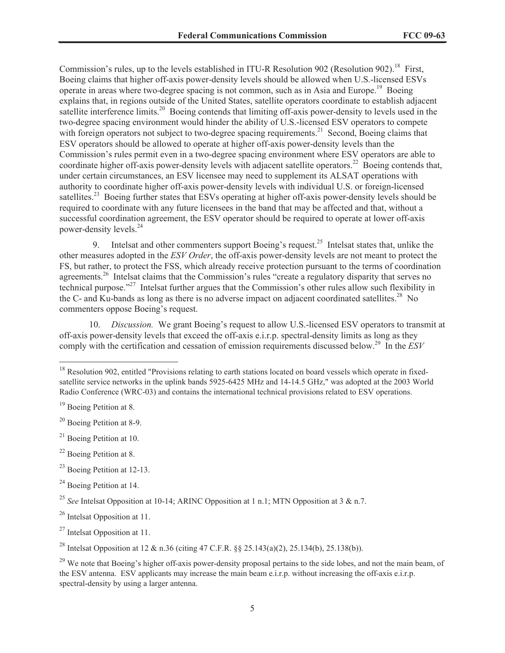Commission's rules, up to the levels established in ITU-R Resolution 902 (Resolution 902).<sup>18</sup> First, Boeing claims that higher off-axis power-density levels should be allowed when U.S.-licensed ESVs operate in areas where two-degree spacing is not common, such as in Asia and Europe.<sup>19</sup> Boeing explains that, in regions outside of the United States, satellite operators coordinate to establish adjacent satellite interference limits.<sup>20</sup> Boeing contends that limiting off-axis power-density to levels used in the two-degree spacing environment would hinder the ability of U.S.-licensed ESV operators to compete with foreign operators not subject to two-degree spacing requirements.<sup>21</sup> Second, Boeing claims that ESV operators should be allowed to operate at higher off-axis power-density levels than the Commission's rules permit even in a two-degree spacing environment where ESV operators are able to coordinate higher off-axis power-density levels with adjacent satellite operators.<sup>22</sup> Boeing contends that, under certain circumstances, an ESV licensee may need to supplement its ALSAT operations with authority to coordinate higher off-axis power-density levels with individual U.S. or foreign-licensed satellites.<sup>23</sup> Boeing further states that ESVs operating at higher off-axis power-density levels should be required to coordinate with any future licensees in the band that may be affected and that, without a successful coordination agreement, the ESV operator should be required to operate at lower off-axis power-density levels.<sup>24</sup>

9. Intelsat and other commenters support Boeing's request.<sup>25</sup> Intelsat states that, unlike the other measures adopted in the *ESV Order*, the off-axis power-density levels are not meant to protect the FS, but rather, to protect the FSS, which already receive protection pursuant to the terms of coordination agreements.<sup>26</sup> Intelsat claims that the Commission's rules "create a regulatory disparity that serves no technical purpose."<sup>27</sup> Intelsat further argues that the Commission's other rules allow such flexibility in the C- and Ku-bands as long as there is no adverse impact on adjacent coordinated satellites.<sup>28</sup> No commenters oppose Boeing's request.

10. *Discussion.* We grant Boeing's request to allow U.S.-licensed ESV operators to transmit at off-axis power-density levels that exceed the off-axis e.i.r.p. spectral-density limits as long as they comply with the certification and cessation of emission requirements discussed below.<sup>29</sup> In the *ESV* 

<sup>&</sup>lt;sup>18</sup> Resolution 902, entitled "Provisions relating to earth stations located on board vessels which operate in fixedsatellite service networks in the uplink bands 5925-6425 MHz and 14-14.5 GHz," was adopted at the 2003 World Radio Conference (WRC-03) and contains the international technical provisions related to ESV operations.

<sup>&</sup>lt;sup>19</sup> Boeing Petition at 8.

<sup>20</sup> Boeing Petition at 8-9.

 $21$  Boeing Petition at 10.

<sup>&</sup>lt;sup>22</sup> Boeing Petition at 8.

<sup>23</sup> Boeing Petition at 12-13.

 $24$  Boeing Petition at 14.

<sup>25</sup> *See* Intelsat Opposition at 10-14; ARINC Opposition at 1 n.1; MTN Opposition at 3 & n.7.

<sup>26</sup> Intelsat Opposition at 11.

 $27$  Intelsat Opposition at 11.

<sup>28</sup> Intelsat Opposition at 12 & n.36 (citing 47 C.F.R. §§ 25.143(a)(2), 25.134(b), 25.138(b)).

<sup>&</sup>lt;sup>29</sup> We note that Boeing's higher off-axis power-density proposal pertains to the side lobes, and not the main beam, of the ESV antenna. ESV applicants may increase the main beam e.i.r.p. without increasing the off-axis e.i.r.p. spectral-density by using a larger antenna.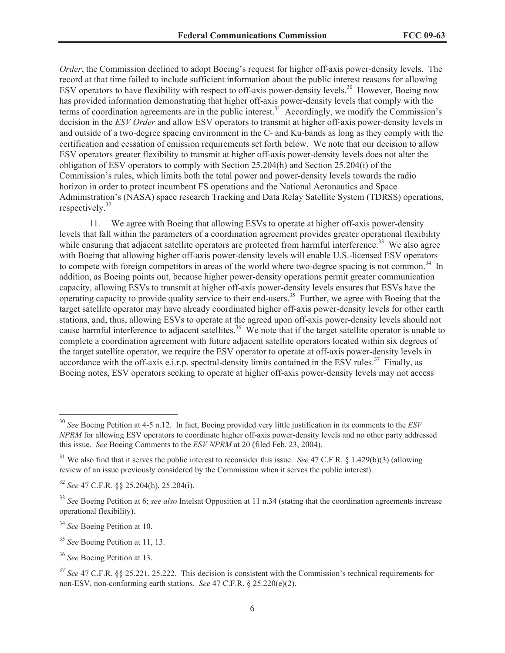*Order*, the Commission declined to adopt Boeing's request for higher off-axis power-density levels. The record at that time failed to include sufficient information about the public interest reasons for allowing ESV operators to have flexibility with respect to off-axis power-density levels.<sup>30</sup> However, Boeing now has provided information demonstrating that higher off-axis power-density levels that comply with the terms of coordination agreements are in the public interest.<sup>31</sup> Accordingly, we modify the Commission's decision in the *ESV Order* and allow ESV operators to transmit at higher off-axis power-density levels in and outside of a two-degree spacing environment in the C- and Ku-bands as long as they comply with the certification and cessation of emission requirements set forth below. We note that our decision to allow ESV operators greater flexibility to transmit at higher off-axis power-density levels does not alter the obligation of ESV operators to comply with Section 25.204(h) and Section 25.204(i) of the Commission's rules, which limits both the total power and power-density levels towards the radio horizon in order to protect incumbent FS operations and the National Aeronautics and Space Administration's (NASA) space research Tracking and Data Relay Satellite System (TDRSS) operations, respectively.<sup>32</sup>

11. We agree with Boeing that allowing ESVs to operate at higher off-axis power-density levels that fall within the parameters of a coordination agreement provides greater operational flexibility while ensuring that adjacent satellite operators are protected from harmful interference.<sup>33</sup> We also agree with Boeing that allowing higher off-axis power-density levels will enable U.S.-licensed ESV operators to compete with foreign competitors in areas of the world where two-degree spacing is not common.<sup>34</sup> In addition, as Boeing points out, because higher power-density operations permit greater communication capacity, allowing ESVs to transmit at higher off-axis power-density levels ensures that ESVs have the operating capacity to provide quality service to their end-users.<sup>35</sup> Further, we agree with Boeing that the target satellite operator may have already coordinated higher off-axis power-density levels for other earth stations, and, thus, allowing ESVs to operate at the agreed upon off-axis power-density levels should not cause harmful interference to adjacent satellites.<sup>36</sup> We note that if the target satellite operator is unable to complete a coordination agreement with future adjacent satellite operators located within six degrees of the target satellite operator, we require the ESV operator to operate at off-axis power-density levels in accordance with the off-axis e.i.r.p. spectral-density limits contained in the ESV rules.<sup>37</sup> Finally, as Boeing notes, ESV operators seeking to operate at higher off-axis power-density levels may not access

<sup>30</sup> *See* Boeing Petition at 4-5 n.12. In fact, Boeing provided very little justification in its comments to the *ESV NPRM* for allowing ESV operators to coordinate higher off-axis power-density levels and no other party addressed this issue. *See* Boeing Comments to the *ESV NPRM* at 20 (filed Feb. 23, 2004).

<sup>31</sup> We also find that it serves the public interest to reconsider this issue. *See* 47 C.F.R. § 1.429(b)(3) (allowing review of an issue previously considered by the Commission when it serves the public interest).

<sup>32</sup> *See* 47 C.F.R. §§ 25.204(h), 25.204(i).

<sup>33</sup> *See* Boeing Petition at 6; *see also* Intelsat Opposition at 11 n.34 (stating that the coordination agreements increase operational flexibility).

<sup>34</sup> *See* Boeing Petition at 10.

<sup>35</sup> *See* Boeing Petition at 11, 13.

<sup>36</sup> *See* Boeing Petition at 13.

<sup>37</sup> *See* 47 C.F.R. §§ 25.221, 25.222. This decision is consistent with the Commission's technical requirements for non-ESV, non-conforming earth stations. *See* 47 C.F.R. § 25.220(e)(2).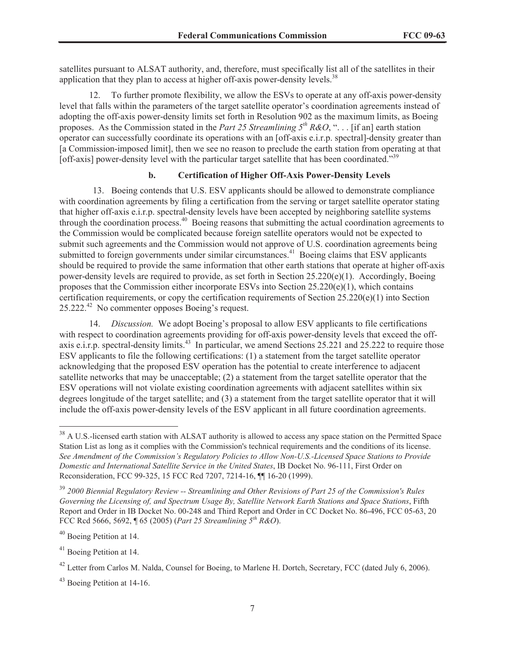satellites pursuant to ALSAT authority, and, therefore, must specifically list all of the satellites in their application that they plan to access at higher off-axis power-density levels.<sup>38</sup>

12. To further promote flexibility, we allow the ESVs to operate at any off-axis power-density level that falls within the parameters of the target satellite operator's coordination agreements instead of adopting the off-axis power-density limits set forth in Resolution 902 as the maximum limits, as Boeing proposes. As the Commission stated in the *Part 25 Streamlining 5th R&O*, ". . . [if an] earth station operator can successfully coordinate its operations with an [off-axis e.i.r.p. spectral]-density greater than [a Commission-imposed limit], then we see no reason to preclude the earth station from operating at that [off-axis] power-density level with the particular target satellite that has been coordinated."<sup>39</sup>

# **b. Certification of Higher Off-Axis Power-Density Levels**

13. Boeing contends that U.S. ESV applicants should be allowed to demonstrate compliance with coordination agreements by filing a certification from the serving or target satellite operator stating that higher off-axis e.i.r.p. spectral-density levels have been accepted by neighboring satellite systems through the coordination process.<sup>40</sup> Boeing reasons that submitting the actual coordination agreements to the Commission would be complicated because foreign satellite operators would not be expected to submit such agreements and the Commission would not approve of U.S. coordination agreements being submitted to foreign governments under similar circumstances.<sup>41</sup> Boeing claims that ESV applicants should be required to provide the same information that other earth stations that operate at higher off-axis power-density levels are required to provide, as set forth in Section 25.220(e)(1). Accordingly, Boeing proposes that the Commission either incorporate ESVs into Section 25.220(e)(1), which contains certification requirements, or copy the certification requirements of Section 25.220(e)(1) into Section 25.222.<sup>42</sup> No commenter opposes Boeing's request.

14. *Discussion.* We adopt Boeing's proposal to allow ESV applicants to file certifications with respect to coordination agreements providing for off-axis power-density levels that exceed the offaxis e.i.r.p. spectral-density limits.<sup>43</sup> In particular, we amend Sections 25.221 and 25.222 to require those ESV applicants to file the following certifications: (1) a statement from the target satellite operator acknowledging that the proposed ESV operation has the potential to create interference to adjacent satellite networks that may be unacceptable; (2) a statement from the target satellite operator that the ESV operations will not violate existing coordination agreements with adjacent satellites within six degrees longitude of the target satellite; and (3) a statement from the target satellite operator that it will include the off-axis power-density levels of the ESV applicant in all future coordination agreements.

<sup>&</sup>lt;sup>38</sup> A U.S.-licensed earth station with ALSAT authority is allowed to access any space station on the Permitted Space Station List as long as it complies with the Commission's technical requirements and the conditions of its license. *See Amendment of the Commission's Regulatory Policies to Allow Non-U.S.-Licensed Space Stations to Provide Domestic and International Satellite Service in the United States*, IB Docket No. 96-111, First Order on Reconsideration, FCC 99-325, 15 FCC Rcd 7207, 7214-16, ¶¶ 16-20 (1999).

<sup>39</sup> *2000 Biennial Regulatory Review -- Streamlining and Other Revisions of Part 25 of the Commission's Rules Governing the Licensing of, and Spectrum Usage By, Satellite Network Earth Stations and Space Stations*, Fifth Report and Order in IB Docket No. 00-248 and Third Report and Order in CC Docket No. 86-496, FCC 05-63, 20 FCC Rcd 5666, 5692, ¶ 65 (2005) (*Part 25 Streamlining 5th R&O*).

<sup>&</sup>lt;sup>40</sup> Boeing Petition at 14.

<sup>41</sup> Boeing Petition at 14.

 $^{42}$  Letter from Carlos M. Nalda, Counsel for Boeing, to Marlene H. Dortch, Secretary, FCC (dated July 6, 2006).

<sup>43</sup> Boeing Petition at 14-16.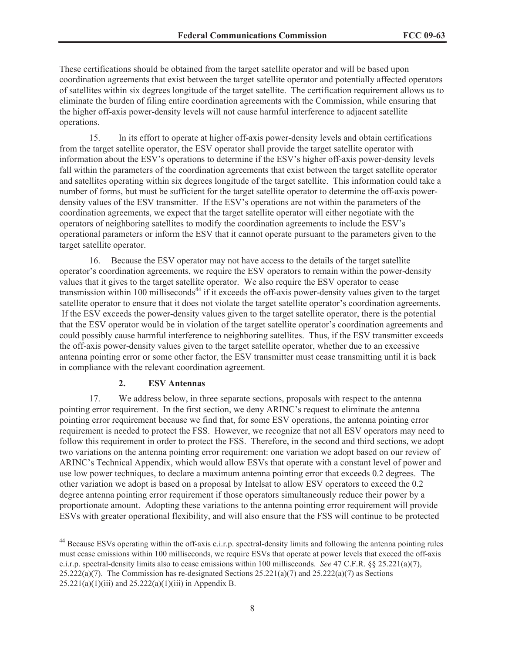These certifications should be obtained from the target satellite operator and will be based upon coordination agreements that exist between the target satellite operator and potentially affected operators of satellites within six degrees longitude of the target satellite. The certification requirement allows us to eliminate the burden of filing entire coordination agreements with the Commission, while ensuring that the higher off-axis power-density levels will not cause harmful interference to adjacent satellite operations.

15. In its effort to operate at higher off-axis power-density levels and obtain certifications from the target satellite operator, the ESV operator shall provide the target satellite operator with information about the ESV's operations to determine if the ESV's higher off-axis power-density levels fall within the parameters of the coordination agreements that exist between the target satellite operator and satellites operating within six degrees longitude of the target satellite. This information could take a number of forms, but must be sufficient for the target satellite operator to determine the off-axis powerdensity values of the ESV transmitter. If the ESV's operations are not within the parameters of the coordination agreements, we expect that the target satellite operator will either negotiate with the operators of neighboring satellites to modify the coordination agreements to include the ESV's operational parameters or inform the ESV that it cannot operate pursuant to the parameters given to the target satellite operator.

16. Because the ESV operator may not have access to the details of the target satellite operator's coordination agreements, we require the ESV operators to remain within the power-density values that it gives to the target satellite operator. We also require the ESV operator to cease transmission within 100 milliseconds<sup>44</sup> if it exceeds the off-axis power-density values given to the target satellite operator to ensure that it does not violate the target satellite operator's coordination agreements. If the ESV exceeds the power-density values given to the target satellite operator, there is the potential that the ESV operator would be in violation of the target satellite operator's coordination agreements and could possibly cause harmful interference to neighboring satellites. Thus, if the ESV transmitter exceeds the off-axis power-density values given to the target satellite operator, whether due to an excessive antenna pointing error or some other factor, the ESV transmitter must cease transmitting until it is back in compliance with the relevant coordination agreement.

## **2. ESV Antennas**

17. We address below, in three separate sections, proposals with respect to the antenna pointing error requirement. In the first section, we deny ARINC's request to eliminate the antenna pointing error requirement because we find that, for some ESV operations, the antenna pointing error requirement is needed to protect the FSS. However, we recognize that not all ESV operators may need to follow this requirement in order to protect the FSS. Therefore, in the second and third sections, we adopt two variations on the antenna pointing error requirement: one variation we adopt based on our review of ARINC's Technical Appendix, which would allow ESVs that operate with a constant level of power and use low power techniques, to declare a maximum antenna pointing error that exceeds 0.2 degrees. The other variation we adopt is based on a proposal by Intelsat to allow ESV operators to exceed the 0.2 degree antenna pointing error requirement if those operators simultaneously reduce their power by a proportionate amount. Adopting these variations to the antenna pointing error requirement will provide ESVs with greater operational flexibility, and will also ensure that the FSS will continue to be protected

<sup>&</sup>lt;sup>44</sup> Because ESVs operating within the off-axis e.i.r.p. spectral-density limits and following the antenna pointing rules must cease emissions within 100 milliseconds, we require ESVs that operate at power levels that exceed the off-axis e.i.r.p. spectral-density limits also to cease emissions within 100 milliseconds. *See* 47 C.F.R. §§ 25.221(a)(7), 25.222(a)(7). The Commission has re-designated Sections  $25.221(a)(7)$  and  $25.222(a)(7)$  as Sections  $25.221(a)(1)(iii)$  and  $25.222(a)(1)(iii)$  in Appendix B.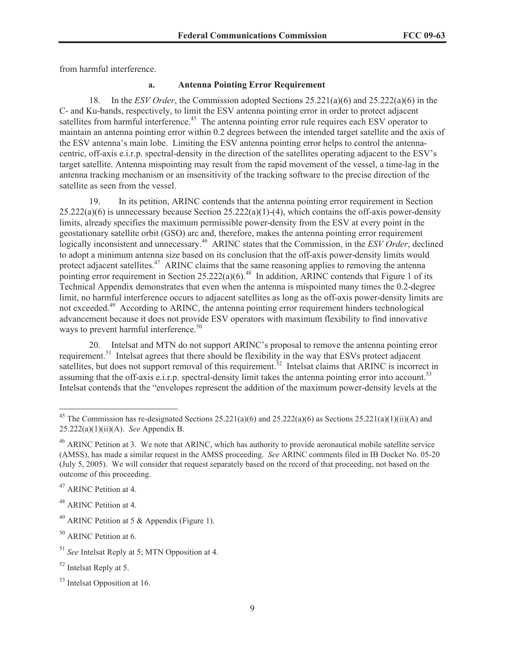from harmful interference.

#### **a. Antenna Pointing Error Requirement**

18. In the *ESV Order*, the Commission adopted Sections 25.221(a)(6) and 25.222(a)(6) in the C- and Ku-bands, respectively, to limit the ESV antenna pointing error in order to protect adjacent satellites from harmful interference.<sup>45</sup> The antenna pointing error rule requires each ESV operator to maintain an antenna pointing error within 0.2 degrees between the intended target satellite and the axis of the ESV antenna's main lobe. Limiting the ESV antenna pointing error helps to control the antennacentric, off-axis e.i.r.p. spectral-density in the direction of the satellites operating adjacent to the ESV's target satellite. Antenna mispointing may result from the rapid movement of the vessel, a time-lag in the antenna tracking mechanism or an insensitivity of the tracking software to the precise direction of the satellite as seen from the vessel.

19. In its petition, ARINC contends that the antenna pointing error requirement in Section  $25.222(a)(6)$  is unnecessary because Section  $25.222(a)(1)-(4)$ , which contains the off-axis power-density limits, already specifies the maximum permissible power-density from the ESV at every point in the geostationary satellite orbit (GSO) arc and, therefore, makes the antenna pointing error requirement logically inconsistent and unnecessary.<sup>46</sup> ARINC states that the Commission, in the *ESV Order*, declined to adopt a minimum antenna size based on its conclusion that the off-axis power-density limits would protect adjacent satellites.<sup>47</sup> ARINC claims that the same reasoning applies to removing the antenna pointing error requirement in Section 25.222(a)(6).<sup>48</sup> In addition, ARINC contends that Figure 1 of its Technical Appendix demonstrates that even when the antenna is mispointed many times the 0.2-degree limit, no harmful interference occurs to adjacent satellites as long as the off-axis power-density limits are not exceeded.<sup>49</sup> According to ARINC, the antenna pointing error requirement hinders technological advancement because it does not provide ESV operators with maximum flexibility to find innovative ways to prevent harmful interference.<sup>50</sup>

20. Intelsat and MTN do not support ARINC's proposal to remove the antenna pointing error requirement.<sup>51</sup> Intelsat agrees that there should be flexibility in the way that ESVs protect adjacent satellites, but does not support removal of this requirement.<sup>52</sup> Intelsat claims that ARINC is incorrect in assuming that the off-axis e.i.r.p. spectral-density limit takes the antenna pointing error into account.<sup>53</sup> Intelsat contends that the "envelopes represent the addition of the maximum power-density levels at the

<sup>47</sup> ARINC Petition at 4.

<sup>48</sup> ARINC Petition at 4.

<sup>&</sup>lt;sup>45</sup> The Commission has re-designated Sections 25.221(a)(6) and 25.222(a)(6) as Sections 25.221(a)(1)(ii)(A) and 25.222(a)(1)(ii)(A). *See* Appendix B.

<sup>&</sup>lt;sup>46</sup> ARINC Petition at 3. We note that ARINC, which has authority to provide aeronautical mobile satellite service (AMSS), has made a similar request in the AMSS proceeding. *See* ARINC comments filed in IB Docket No. 05-20 (July 5, 2005). We will consider that request separately based on the record of that proceeding, not based on the outcome of this proceeding.

<sup>&</sup>lt;sup>49</sup> ARINC Petition at 5  $\&$  Appendix (Figure 1).

<sup>50</sup> ARINC Petition at 6.

<sup>51</sup> *See* Intelsat Reply at 5; MTN Opposition at 4.

<sup>52</sup> Intelsat Reply at 5.

<sup>53</sup> Intelsat Opposition at 16.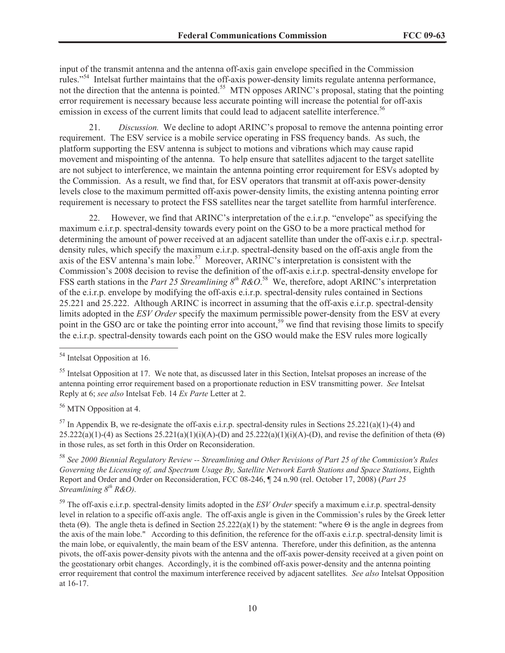input of the transmit antenna and the antenna off-axis gain envelope specified in the Commission rules."<sup>54</sup> Intelsat further maintains that the off-axis power-density limits regulate antenna performance, not the direction that the antenna is pointed.<sup>55</sup> MTN opposes ARINC's proposal, stating that the pointing error requirement is necessary because less accurate pointing will increase the potential for off-axis emission in excess of the current limits that could lead to adjacent satellite interference.<sup>56</sup>

21. *Discussion.* We decline to adopt ARINC's proposal to remove the antenna pointing error requirement. The ESV service is a mobile service operating in FSS frequency bands. As such, the platform supporting the ESV antenna is subject to motions and vibrations which may cause rapid movement and mispointing of the antenna. To help ensure that satellites adjacent to the target satellite are not subject to interference, we maintain the antenna pointing error requirement for ESVs adopted by the Commission. As a result, we find that, for ESV operators that transmit at off-axis power-density levels close to the maximum permitted off-axis power-density limits, the existing antenna pointing error requirement is necessary to protect the FSS satellites near the target satellite from harmful interference.

22. However, we find that ARINC's interpretation of the e.i.r.p. "envelope" as specifying the maximum e.i.r.p. spectral-density towards every point on the GSO to be a more practical method for determining the amount of power received at an adjacent satellite than under the off-axis e.i.r.p. spectraldensity rules, which specify the maximum e.i.r.p. spectral-density based on the off-axis angle from the axis of the ESV antenna's main lobe.<sup>57</sup> Moreover, ARINC's interpretation is consistent with the Commission's 2008 decision to revise the definition of the off-axis e.i.r.p. spectral-density envelope for FSS earth stations in the *Part 25 Streamlining 8<sup>th</sup> R&O*.<sup>58</sup> We, therefore, adopt ARINC's interpretation of the e.i.r.p. envelope by modifying the off-axis e.i.r.p. spectral-density rules contained in Sections 25.221 and 25.222. Although ARINC is incorrect in assuming that the off-axis e.i.r.p. spectral-density limits adopted in the *ESV Order* specify the maximum permissible power-density from the ESV at every point in the GSO arc or take the pointing error into account,<sup>59</sup> we find that revising those limits to specify the e.i.r.p. spectral-density towards each point on the GSO would make the ESV rules more logically

<sup>56</sup> MTN Opposition at 4.

 $57$  In Appendix B, we re-designate the off-axis e.i.r.p. spectral-density rules in Sections 25.221(a)(1)-(4) and  $25.222(a)(1)-(4)$  as Sections  $25.221(a)(1)(i)(A)-(D)$  and  $25.222(a)(1)(i)(A)-(D)$ , and revise the definition of theta (Θ) in those rules, as set forth in this Order on Reconsideration.

<sup>58</sup> *See 2000 Biennial Regulatory Review -- Streamlining and Other Revisions of Part 25 of the Commission's Rules Governing the Licensing of, and Spectrum Usage By, Satellite Network Earth Stations and Space Stations*, Eighth Report and Order and Order on Reconsideration, FCC 08-246, ¶ 24 n.90 (rel. October 17, 2008) (*Part 25 Streamlining 8th R&O)*.

<sup>59</sup> The off-axis e.i.r.p. spectral-density limits adopted in the *ESV Order* specify a maximum e.i.r.p. spectral-density level in relation to a specific off-axis angle. The off-axis angle is given in the Commission's rules by the Greek letter theta (Θ). The angle theta is defined in Section 25.222(a)(1) by the statement: "where Θ is the angle in degrees from the axis of the main lobe." According to this definition, the reference for the off-axis e.i.r.p. spectral-density limit is the main lobe, or equivalently, the main beam of the ESV antenna. Therefore, under this definition, as the antenna pivots, the off-axis power-density pivots with the antenna and the off-axis power-density received at a given point on the geostationary orbit changes. Accordingly, it is the combined off-axis power-density and the antenna pointing error requirement that control the maximum interference received by adjacent satellites. *See also* Intelsat Opposition at 16-17.

<sup>54</sup> Intelsat Opposition at 16.

<sup>&</sup>lt;sup>55</sup> Intelsat Opposition at 17. We note that, as discussed later in this Section, Intelsat proposes an increase of the antenna pointing error requirement based on a proportionate reduction in ESV transmitting power. *See* Intelsat Reply at 6; *see also* Intelsat Feb. 14 *Ex Parte* Letter at 2.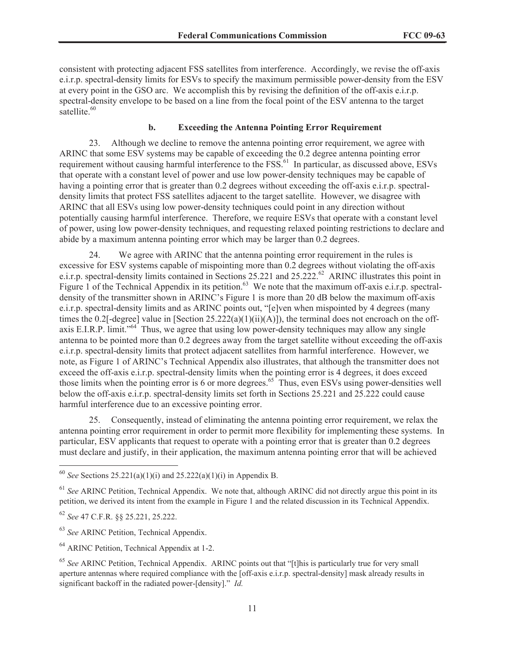consistent with protecting adjacent FSS satellites from interference. Accordingly, we revise the off-axis e.i.r.p. spectral-density limits for ESVs to specify the maximum permissible power-density from the ESV at every point in the GSO arc. We accomplish this by revising the definition of the off-axis e.i.r.p. spectral-density envelope to be based on a line from the focal point of the ESV antenna to the target satellite. $60$ 

### **b. Exceeding the Antenna Pointing Error Requirement**

23. Although we decline to remove the antenna pointing error requirement, we agree with ARINC that some ESV systems may be capable of exceeding the 0.2 degree antenna pointing error requirement without causing harmful interference to the FSS.<sup>61</sup> In particular, as discussed above, ESVs that operate with a constant level of power and use low power-density techniques may be capable of having a pointing error that is greater than 0.2 degrees without exceeding the off-axis e.i.r.p. spectraldensity limits that protect FSS satellites adjacent to the target satellite. However, we disagree with ARINC that all ESVs using low power-density techniques could point in any direction without potentially causing harmful interference. Therefore, we require ESVs that operate with a constant level of power, using low power-density techniques, and requesting relaxed pointing restrictions to declare and abide by a maximum antenna pointing error which may be larger than 0.2 degrees.

24. We agree with ARINC that the antenna pointing error requirement in the rules is excessive for ESV systems capable of mispointing more than 0.2 degrees without violating the off-axis e.i.r.p. spectral-density limits contained in Sections 25.221 and 25.222.<sup>62</sup> ARINC illustrates this point in Figure 1 of the Technical Appendix in its petition.<sup>63</sup> We note that the maximum off-axis e.i.r.p. spectraldensity of the transmitter shown in ARINC's Figure 1 is more than 20 dB below the maximum off-axis e.i.r.p. spectral-density limits and as ARINC points out, "[e]ven when mispointed by 4 degrees (many times the 0.2[-degree] value in [Section  $25.222(a)(1)(ii)(A)]$ ), the terminal does not encroach on the offaxis E.I.R.P. limit."<sup>64</sup> Thus, we agree that using low power-density techniques may allow any single antenna to be pointed more than 0.2 degrees away from the target satellite without exceeding the off-axis e.i.r.p. spectral-density limits that protect adjacent satellites from harmful interference. However, we note, as Figure 1 of ARINC's Technical Appendix also illustrates, that although the transmitter does not exceed the off-axis e.i.r.p. spectral-density limits when the pointing error is 4 degrees, it does exceed those limits when the pointing error is 6 or more degrees.<sup>65</sup> Thus, even ESVs using power-densities well below the off-axis e.i.r.p. spectral-density limits set forth in Sections 25.221 and 25.222 could cause harmful interference due to an excessive pointing error.

25. Consequently, instead of eliminating the antenna pointing error requirement, we relax the antenna pointing error requirement in order to permit more flexibility for implementing these systems. In particular, ESV applicants that request to operate with a pointing error that is greater than 0.2 degrees must declare and justify, in their application, the maximum antenna pointing error that will be achieved

<sup>60</sup> *See* Sections 25.221(a)(1)(i) and 25.222(a)(1)(i) in Appendix B.

<sup>&</sup>lt;sup>61</sup> See ARINC Petition, Technical Appendix. We note that, although ARINC did not directly argue this point in its petition, we derived its intent from the example in Figure 1 and the related discussion in its Technical Appendix.

<sup>62</sup> *See* 47 C.F.R. §§ 25.221, 25.222.

<sup>63</sup> *See* ARINC Petition, Technical Appendix.

<sup>&</sup>lt;sup>64</sup> ARINC Petition, Technical Appendix at 1-2.

<sup>65</sup> *See* ARINC Petition, Technical Appendix. ARINC points out that "[t]his is particularly true for very small aperture antennas where required compliance with the [off-axis e.i.r.p. spectral-density] mask already results in significant backoff in the radiated power-[density]." *Id.*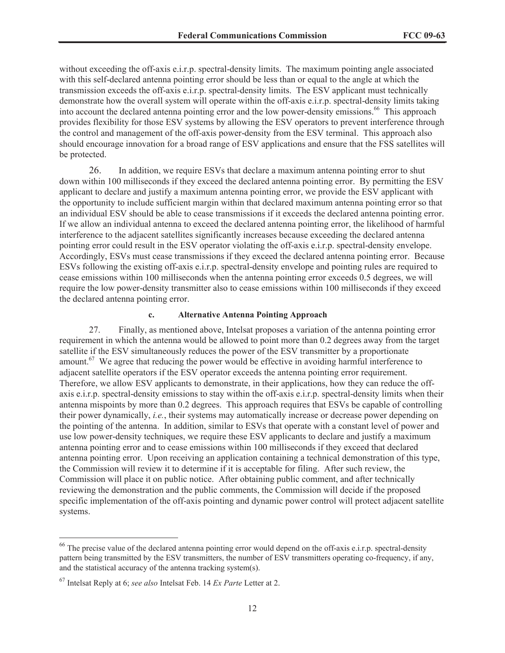without exceeding the off-axis e.i.r.p. spectral-density limits. The maximum pointing angle associated with this self-declared antenna pointing error should be less than or equal to the angle at which the transmission exceeds the off-axis e.i.r.p. spectral-density limits. The ESV applicant must technically demonstrate how the overall system will operate within the off-axis e.i.r.p. spectral-density limits taking into account the declared antenna pointing error and the low power-density emissions.<sup>66</sup> This approach provides flexibility for those ESV systems by allowing the ESV operators to prevent interference through the control and management of the off-axis power-density from the ESV terminal. This approach also should encourage innovation for a broad range of ESV applications and ensure that the FSS satellites will be protected.

26. In addition, we require ESVs that declare a maximum antenna pointing error to shut down within 100 milliseconds if they exceed the declared antenna pointing error. By permitting the ESV applicant to declare and justify a maximum antenna pointing error, we provide the ESV applicant with the opportunity to include sufficient margin within that declared maximum antenna pointing error so that an individual ESV should be able to cease transmissions if it exceeds the declared antenna pointing error. If we allow an individual antenna to exceed the declared antenna pointing error, the likelihood of harmful interference to the adjacent satellites significantly increases because exceeding the declared antenna pointing error could result in the ESV operator violating the off-axis e.i.r.p. spectral-density envelope. Accordingly, ESVs must cease transmissions if they exceed the declared antenna pointing error. Because ESVs following the existing off-axis e.i.r.p. spectral-density envelope and pointing rules are required to cease emissions within 100 milliseconds when the antenna pointing error exceeds 0.5 degrees, we will require the low power-density transmitter also to cease emissions within 100 milliseconds if they exceed the declared antenna pointing error.

## **c. Alternative Antenna Pointing Approach**

27. Finally, as mentioned above, Intelsat proposes a variation of the antenna pointing error requirement in which the antenna would be allowed to point more than 0.2 degrees away from the target satellite if the ESV simultaneously reduces the power of the ESV transmitter by a proportionate amount.<sup>67</sup> We agree that reducing the power would be effective in avoiding harmful interference to adjacent satellite operators if the ESV operator exceeds the antenna pointing error requirement. Therefore, we allow ESV applicants to demonstrate, in their applications, how they can reduce the offaxis e.i.r.p. spectral-density emissions to stay within the off-axis e.i.r.p. spectral-density limits when their antenna mispoints by more than 0.2 degrees. This approach requires that ESVs be capable of controlling their power dynamically, *i.e.*, their systems may automatically increase or decrease power depending on the pointing of the antenna. In addition, similar to ESVs that operate with a constant level of power and use low power-density techniques, we require these ESV applicants to declare and justify a maximum antenna pointing error and to cease emissions within 100 milliseconds if they exceed that declared antenna pointing error. Upon receiving an application containing a technical demonstration of this type, the Commission will review it to determine if it is acceptable for filing. After such review, the Commission will place it on public notice. After obtaining public comment, and after technically reviewing the demonstration and the public comments, the Commission will decide if the proposed specific implementation of the off-axis pointing and dynamic power control will protect adjacent satellite systems.

<sup>&</sup>lt;sup>66</sup> The precise value of the declared antenna pointing error would depend on the off-axis e.i.r.p. spectral-density pattern being transmitted by the ESV transmitters, the number of ESV transmitters operating co-frequency, if any, and the statistical accuracy of the antenna tracking system(s).

<sup>67</sup> Intelsat Reply at 6; *see also* Intelsat Feb. 14 *Ex Parte* Letter at 2.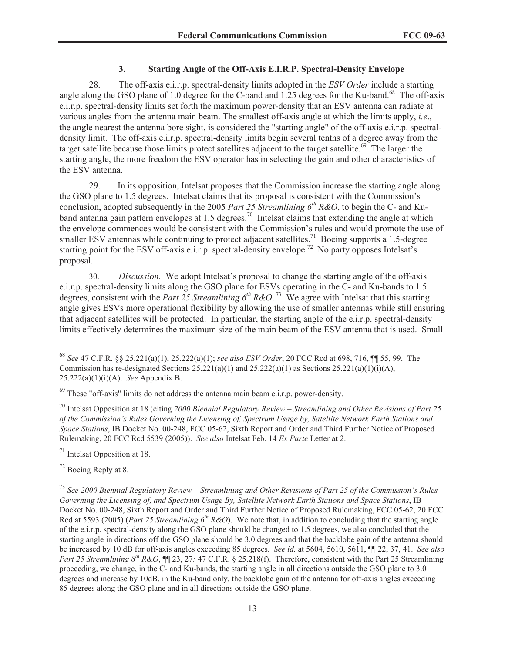## **3. Starting Angle of the Off-Axis E.I.R.P. Spectral-Density Envelope**

28. The off-axis e.i.r.p. spectral-density limits adopted in the *ESV Order* include a starting angle along the GSO plane of 1.0 degree for the C-band and 1.25 degrees for the Ku-band.<sup>68</sup> The off-axis e.i.r.p. spectral-density limits set forth the maximum power-density that an ESV antenna can radiate at various angles from the antenna main beam. The smallest off-axis angle at which the limits apply, *i.e*., the angle nearest the antenna bore sight, is considered the "starting angle" of the off-axis e.i.r.p. spectraldensity limit. The off-axis e.i.r.p. spectral-density limits begin several tenths of a degree away from the target satellite because those limits protect satellites adjacent to the target satellite.<sup>69</sup> The larger the starting angle, the more freedom the ESV operator has in selecting the gain and other characteristics of the ESV antenna.

29. In its opposition, Intelsat proposes that the Commission increase the starting angle along the GSO plane to 1.5 degrees. Intelsat claims that its proposal is consistent with the Commission's conclusion, adopted subsequently in the 2005 *Part 25 Streamlining 6 th R&O*, to begin the C- and Kuband antenna gain pattern envelopes at 1.5 degrees.<sup>70</sup> Intelsat claims that extending the angle at which the envelope commences would be consistent with the Commission's rules and would promote the use of smaller ESV antennas while continuing to protect adjacent satellites.<sup>71</sup> Boeing supports a 1.5-degree starting point for the ESV off-axis e.i.r.p. spectral-density envelope.<sup>72</sup> No party opposes Intelsat's proposal.

30. *Discussion.* We adopt Intelsat's proposal to change the starting angle of the off-axis e.i.r.p. spectral-density limits along the GSO plane for ESVs operating in the C- and Ku-bands to 1.5 degrees, consistent with the *Part 25 Streamlining 6th R&O*. <sup>73</sup> We agree with Intelsat that this starting angle gives ESVs more operational flexibility by allowing the use of smaller antennas while still ensuring that adjacent satellites will be protected. In particular, the starting angle of the e.i.r.p. spectral-density limits effectively determines the maximum size of the main beam of the ESV antenna that is used. Small

<sup>70</sup> Intelsat Opposition at 18 (citing *2000 Biennial Regulatory Review – Streamlining and Other Revisions of Part 25 of the Commission's Rules Governing the Licensing of, Spectrum Usage by, Satellite Network Earth Stations and Space Stations*, IB Docket No. 00-248, FCC 05-62, Sixth Report and Order and Third Further Notice of Proposed Rulemaking, 20 FCC Rcd 5539 (2005)). *See also* Intelsat Feb. 14 *Ex Parte* Letter at 2.

<sup>71</sup> Intelsat Opposition at 18.

<sup>72</sup> Boeing Reply at 8.

<sup>73</sup> *See 2000 Biennial Regulatory Review – Streamlining and Other Revisions of Part 25 of the Commission's Rules Governing the Licensing of, and Spectrum Usage By, Satellite Network Earth Stations and Space Stations*, IB Docket No. 00-248, Sixth Report and Order and Third Further Notice of Proposed Rulemaking, FCC 05-62, 20 FCC Rcd at 5593 (2005) (*Part 25 Streamlining 6th R&O*). We note that, in addition to concluding that the starting angle of the e.i.r.p. spectral-density along the GSO plane should be changed to 1.5 degrees, we also concluded that the starting angle in directions off the GSO plane should be 3.0 degrees and that the backlobe gain of the antenna should be increased by 10 dB for off-axis angles exceeding 85 degrees. *See id.* at 5604, 5610, 5611, ¶¶ 22, 37, 41. *See also Part 25 Streamlining 8th R&O*, ¶¶ 23, 27*;* 47 C.F.R. § 25.218(f). Therefore, consistent with the Part 25 Streamlining proceeding, we change, in the C- and Ku-bands, the starting angle in all directions outside the GSO plane to 3.0 degrees and increase by 10dB, in the Ku-band only, the backlobe gain of the antenna for off-axis angles exceeding 85 degrees along the GSO plane and in all directions outside the GSO plane.

<sup>68</sup> *See* 47 C.F.R. §§ 25.221(a)(1), 25.222(a)(1); *see also ESV Order*, 20 FCC Rcd at 698, 716, ¶¶ 55, 99. The Commission has re-designated Sections  $25.221(a)(1)$  and  $25.222(a)(1)$  as Sections  $25.221(a)(1)(i)(A)$ , 25.222(a)(1)(i)(A). *See* Appendix B.

<sup>69</sup> These "off-axis" limits do not address the antenna main beam e.i.r.p. power-density.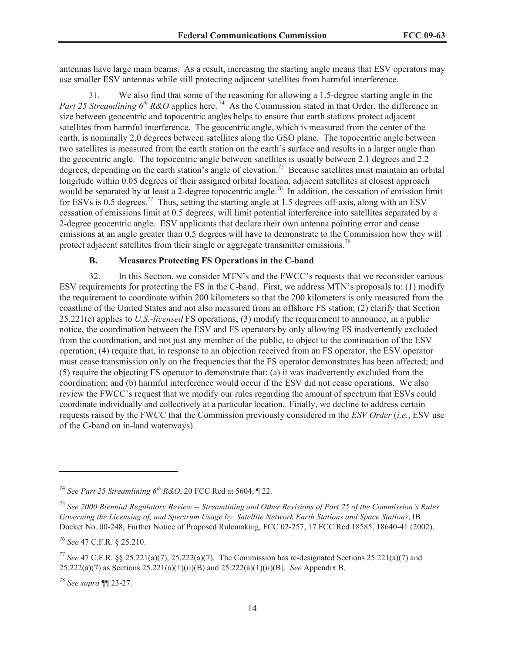antennas have large main beams. As a result, increasing the starting angle means that ESV operators may use smaller ESV antennas while still protecting adjacent satellites from harmful interference.

31. We also find that some of the reasoning for allowing a 1.5-degree starting angle in the *Part 25 Streamlining 6<sup>th</sup> R&O* applies here.<sup>74</sup> As the Commission stated in that Order, the difference in size between geocentric and topocentric angles helps to ensure that earth stations protect adjacent satellites from harmful interference. The geocentric angle, which is measured from the center of the earth, is nominally 2.0 degrees between satellites along the GSO plane. The topocentric angle between two satellites is measured from the earth station on the earth's surface and results in a larger angle than the geocentric angle. The topocentric angle between satellites is usually between 2.1 degrees and 2.2 degrees, depending on the earth station's angle of elevation.<sup>75</sup> Because satellites must maintain an orbital longitude within 0.05 degrees of their assigned orbital location, adjacent satellites at closest approach would be separated by at least a 2-degree topocentric angle.<sup>76</sup> In addition, the cessation of emission limit for ESVs is  $0.5$  degrees.<sup>77</sup> Thus, setting the starting angle at 1.5 degrees of f-axis, along with an ESV cessation of emissions limit at 0.5 degrees, will limit potential interference into satellites separated by a 2-degree geocentric angle. ESV applicants that declare their own antenna pointing error and cease emissions at an angle greater than 0.5 degrees will have to demonstrate to the Commission how they will protect adjacent satellites from their single or aggregate transmitter emissions.<sup>78</sup>

# **B. Measures Protecting FS Operations in the C-band**

32. In this Section, we consider MTN's and the FWCC's requests that we reconsider various ESV requirements for protecting the FS in the C-band. First, we address MTN's proposals to: (1) modify the requirement to coordinate within 200 kilometers so that the 200 kilometers is only measured from the coastline of the United States and not also measured from an offshore FS station; (2) clarify that Section 25.221(e) applies to *U.S.-licensed* FS operations; (3) modify the requirement to announce, in a public notice, the coordination between the ESV and FS operators by only allowing FS inadvertently excluded from the coordination, and not just any member of the public, to object to the continuation of the ESV operation; (4) require that, in response to an objection received from an FS operator, the ESV operator must cease transmission only on the frequencies that the FS operator demonstrates has been affected; and (5) require the objecting FS operator to demonstrate that: (a) it was inadvertently excluded from the coordination; and (b) harmful interference would occur if the ESV did not cease operations. We also review the FWCC's request that we modify our rules regarding the amount of spectrum that ESVs could coordinate individually and collectively at a particular location. Finally, we decline to address certain requests raised by the FWCC that the Commission previously considered in the *ESV Order* (*i.e.*, ESV use of the C-band on in-land waterways).

<sup>76</sup> *See* 47 C.F.R. § 25.210.

<sup>74</sup> *See Part 25 Streamlining 6th R&O*, 20 FCC Rcd at 5604, ¶ 22.

<sup>75</sup> *See 2000 Biennial Regulatory Review -- Streamlining and Other Revisions of Part 25 of the Commission's Rules Governing the Licensing of, and Spectrum Usage by, Satellite Network Earth Stations and Space Stations*, IB Docket No. 00-248, Further Notice of Proposed Rulemaking, FCC 02-257, 17 FCC Rcd 18585, 18640-41 (2002).

<sup>77</sup> *See* 47 C.F.R. §§ 25.221(a)(7), 25.222(a)(7). The Commission has re-designated Sections 25.221(a)(7) and 25.222(a)(7) as Sections 25.221(a)(1)(ii)(B) and 25.222(a)(1)(ii)(B). *See* Appendix B.

<sup>78</sup> *See supra* ¶¶ 23-27.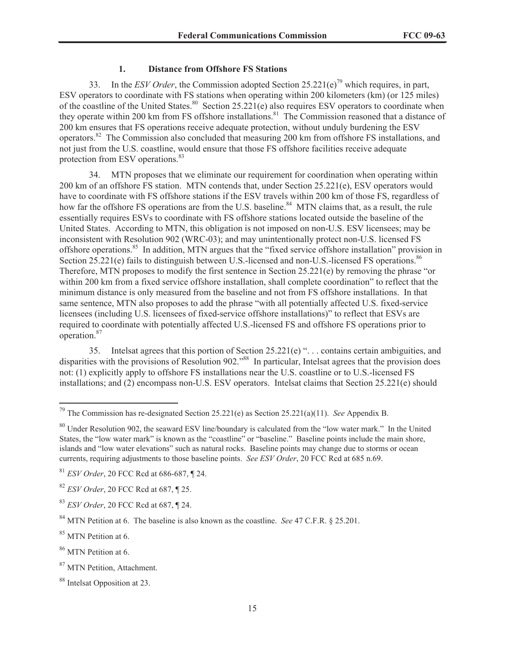## **1. Distance from Offshore FS Stations**

33. In the *ESV Order*, the Commission adopted Section 25.221(e)<sup>79</sup> which requires, in part, ESV operators to coordinate with FS stations when operating within 200 kilometers (km) (or 125 miles) of the coastline of the United States.<sup>80</sup> Section 25.221(e) also requires ESV operators to coordinate when they operate within 200 km from FS offshore installations.<sup>81</sup> The Commission reasoned that a distance of 200 km ensures that FS operations receive adequate protection, without unduly burdening the ESV operators.<sup>82</sup> The Commission also concluded that measuring 200 km from offshore FS installations, and not just from the U.S. coastline, would ensure that those FS offshore facilities receive adequate protection from ESV operations.<sup>83</sup>

34. MTN proposes that we eliminate our requirement for coordination when operating within 200 km of an offshore FS station. MTN contends that, under Section 25.221(e), ESV operators would have to coordinate with FS offshore stations if the ESV travels within 200 km of those FS, regardless of how far the offshore FS operations are from the U.S. baseline.<sup>84</sup> MTN claims that, as a result, the rule essentially requires ESVs to coordinate with FS offshore stations located outside the baseline of the United States. According to MTN, this obligation is not imposed on non-U.S. ESV licensees; may be inconsistent with Resolution 902 (WRC-03); and may unintentionally protect non-U.S. licensed FS offshore operations.<sup>85</sup> In addition, MTN argues that the "fixed service offshore installation" provision in Section 25.221(e) fails to distinguish between U.S.-licensed and non-U.S.-licensed FS operations.<sup>86</sup> Therefore, MTN proposes to modify the first sentence in Section 25.221(e) by removing the phrase "or within 200 km from a fixed service offshore installation, shall complete coordination" to reflect that the minimum distance is only measured from the baseline and not from FS offshore installations. In that same sentence, MTN also proposes to add the phrase "with all potentially affected U.S. fixed-service licensees (including U.S. licensees of fixed-service offshore installations)" to reflect that ESVs are required to coordinate with potentially affected U.S.-licensed FS and offshore FS operations prior to operation.<sup>87</sup>

35. Intelsat agrees that this portion of Section 25.221(e) ". . . contains certain ambiguities, and disparities with the provisions of Resolution 902.<sup>88</sup> In particular, Intelsat agrees that the provision does not: (1) explicitly apply to offshore FS installations near the U.S. coastline or to U.S.-licensed FS installations; and (2) encompass non-U.S. ESV operators. Intelsat claims that Section 25.221(e) should

<sup>79</sup> The Commission has re-designated Section 25.221(e) as Section 25.221(a)(11). *See* Appendix B.

<sup>&</sup>lt;sup>80</sup> Under Resolution 902, the seaward ESV line/boundary is calculated from the "low water mark." In the United States, the "low water mark" is known as the "coastline" or "baseline." Baseline points include the main shore, islands and "low water elevations" such as natural rocks. Baseline points may change due to storms or ocean currents, requiring adjustments to those baseline points. *See ESV Order*, 20 FCC Rcd at 685 n.69.

<sup>81</sup> *ESV Order*, 20 FCC Rcd at 686-687, ¶ 24.

<sup>82</sup> *ESV Order*, 20 FCC Rcd at 687, ¶ 25.

<sup>83</sup> *ESV Order*, 20 FCC Rcd at 687, ¶ 24.

<sup>84</sup> MTN Petition at 6. The baseline is also known as the coastline. *See* 47 C.F.R. § 25.201.

<sup>&</sup>lt;sup>85</sup> MTN Petition at 6.

<sup>&</sup>lt;sup>86</sup> MTN Petition at 6.

<sup>&</sup>lt;sup>87</sup> MTN Petition, Attachment.

<sup>88</sup> Intelsat Opposition at 23.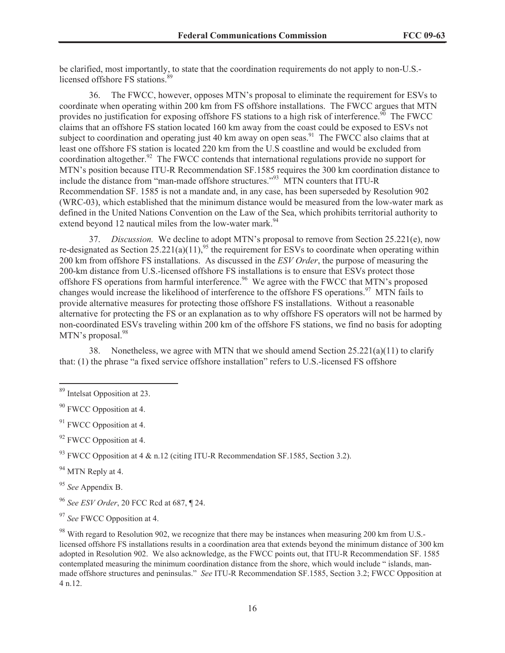be clarified, most importantly, to state that the coordination requirements do not apply to non-U.S. licensed offshore FS stations.<sup>89</sup>

36. The FWCC, however, opposes MTN's proposal to eliminate the requirement for ESVs to coordinate when operating within 200 km from FS offshore installations. The FWCC argues that MTN provides no justification for exposing offshore FS stations to a high risk of interference.<sup>90</sup> The FWCC claims that an offshore FS station located 160 km away from the coast could be exposed to ESVs not subject to coordination and operating just 40 km away on open seas.<sup>91</sup> The FWCC also claims that at least one offshore FS station is located 220 km from the U.S coastline and would be excluded from coordination altogether.<sup>92</sup> The FWCC contends that international regulations provide no support for MTN's position because ITU-R Recommendation SF.1585 requires the 300 km coordination distance to include the distance from "man-made offshore structures."<sup>93</sup> MTN counters that ITU-R Recommendation SF. 1585 is not a mandate and, in any case, has been superseded by Resolution 902 (WRC-03), which established that the minimum distance would be measured from the low-water mark as defined in the United Nations Convention on the Law of the Sea, which prohibits territorial authority to extend beyond 12 nautical miles from the low-water mark.<sup>94</sup>

37. *Discussion.* We decline to adopt MTN's proposal to remove from Section 25.221(e), now re-designated as Section  $25.221(a)(11)$ ,<sup>95</sup> the requirement for ESVs to coordinate when operating within 200 km from offshore FS installations. As discussed in the *ESV Order*, the purpose of measuring the 200-km distance from U.S.-licensed offshore FS installations is to ensure that ESVs protect those offshore FS operations from harmful interference.<sup>96</sup> We agree with the FWCC that  $\hat{M}$ TN's proposed changes would increase the likelihood of interference to the offshore FS operations.<sup>97</sup> MTN fails to provide alternative measures for protecting those offshore FS installations. Without a reasonable alternative for protecting the FS or an explanation as to why offshore FS operators will not be harmed by non-coordinated ESVs traveling within 200 km of the offshore FS stations, we find no basis for adopting MTN's proposal.<sup>98</sup>

38. Nonetheless, we agree with MTN that we should amend Section 25.221(a)(11) to clarify that: (1) the phrase "a fixed service offshore installation" refers to U.S.-licensed FS offshore

<sup>95</sup> *See* Appendix B.

<sup>96</sup> *See ESV Order*, 20 FCC Rcd at 687, ¶ 24.

<sup>89</sup> Intelsat Opposition at 23.

<sup>&</sup>lt;sup>90</sup> FWCC Opposition at 4.

 $91$  FWCC Opposition at 4.

<sup>&</sup>lt;sup>92</sup> FWCC Opposition at 4.

 $^{93}$  FWCC Opposition at 4 & n.12 (citing ITU-R Recommendation SF.1585, Section 3.2).

<sup>&</sup>lt;sup>94</sup> MTN Reply at 4.

<sup>97</sup> *See* FWCC Opposition at 4.

<sup>&</sup>lt;sup>98</sup> With regard to Resolution 902, we recognize that there may be instances when measuring 200 km from U.S.licensed offshore FS installations results in a coordination area that extends beyond the minimum distance of 300 km adopted in Resolution 902. We also acknowledge, as the FWCC points out, that ITU-R Recommendation SF. 1585 contemplated measuring the minimum coordination distance from the shore, which would include " islands, manmade offshore structures and peninsulas." *See* ITU-R Recommendation SF.1585, Section 3.2; FWCC Opposition at 4 n.12.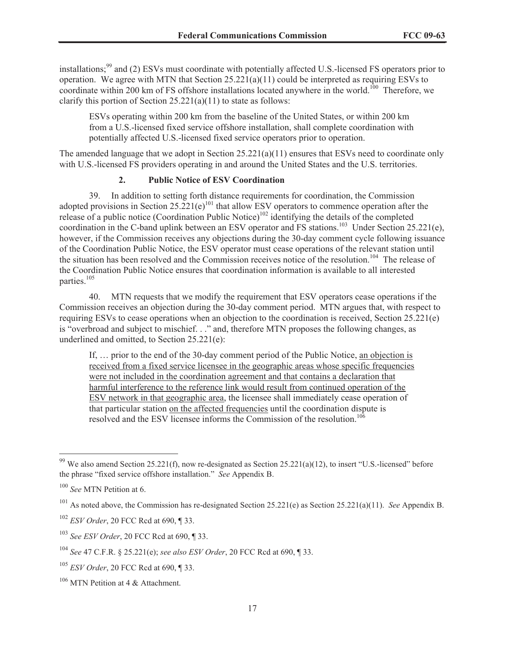installations;<sup>99</sup> and (2) ESVs must coordinate with potentially affected U.S.-licensed FS operators prior to operation. We agree with MTN that Section 25.221(a)(11) could be interpreted as requiring ESVs to coordinate within 200 km of FS offshore installations located anywhere in the world.<sup>100</sup> Therefore, we clarify this portion of Section  $25.221(a)(11)$  to state as follows:

ESVs operating within 200 km from the baseline of the United States, or within 200 km from a U.S.-licensed fixed service offshore installation, shall complete coordination with potentially affected U.S.-licensed fixed service operators prior to operation.

The amended language that we adopt in Section 25.221(a)(11) ensures that ESVs need to coordinate only with U.S.-licensed FS providers operating in and around the United States and the U.S. territories.

# **2. Public Notice of ESV Coordination**

39. In addition to setting forth distance requirements for coordination, the Commission adopted provisions in Section  $25.221(e)^{101}$  that allow ESV operators to commence operation after the release of a public notice (Coordination Public Notice)<sup>102</sup> identifying the details of the completed coordination in the C-band uplink between an ESV operator and FS stations.<sup>103</sup> Under Section 25.221(e), however, if the Commission receives any objections during the 30-day comment cycle following issuance of the Coordination Public Notice, the ESV operator must cease operations of the relevant station until the situation has been resolved and the Commission receives notice of the resolution.<sup>104</sup> The release of the Coordination Public Notice ensures that coordination information is available to all interested parties.<sup>105</sup>

40. MTN requests that we modify the requirement that ESV operators cease operations if the Commission receives an objection during the 30-day comment period. MTN argues that, with respect to requiring ESVs to cease operations when an objection to the coordination is received, Section 25.221(e) is "overbroad and subject to mischief. . ." and, therefore MTN proposes the following changes, as underlined and omitted, to Section 25.221(e):

If, … prior to the end of the 30-day comment period of the Public Notice, an objection is received from a fixed service licensee in the geographic areas whose specific frequencies were not included in the coordination agreement and that contains a declaration that harmful interference to the reference link would result from continued operation of the ESV network in that geographic area, the licensee shall immediately cease operation of that particular station on the affected frequencies until the coordination dispute is resolved and the ESV licensee informs the Commission of the resolution.<sup>106</sup>

<sup>&</sup>lt;sup>99</sup> We also amend Section 25.221(f), now re-designated as Section 25.221(a)(12), to insert "U.S.-licensed" before the phrase "fixed service offshore installation." *See* Appendix B.

<sup>100</sup> *See* MTN Petition at 6.

<sup>101</sup> As noted above, the Commission has re-designated Section 25.221(e) as Section 25.221(a)(11). *See* Appendix B.

<sup>102</sup> *ESV Order*, 20 FCC Rcd at 690, ¶ 33.

<sup>103</sup> *See ESV Order*, 20 FCC Rcd at 690, ¶ 33.

<sup>104</sup> *See* 47 C.F.R. § 25.221(e); *see also ESV Order*, 20 FCC Rcd at 690, ¶ 33.

<sup>105</sup> *ESV Order*, 20 FCC Rcd at 690, ¶ 33.

<sup>&</sup>lt;sup>106</sup> MTN Petition at 4 & Attachment.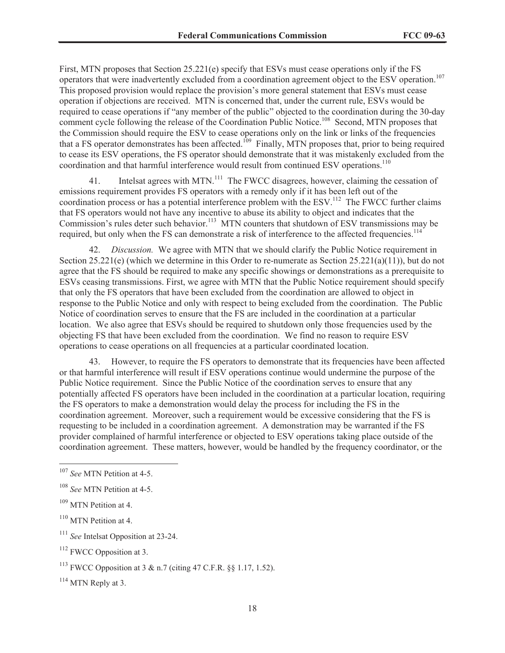First, MTN proposes that Section 25.221(e) specify that ESVs must cease operations only if the FS operators that were inadvertently excluded from a coordination agreement object to the ESV operation.<sup>107</sup> This proposed provision would replace the provision's more general statement that ESVs must cease operation if objections are received. MTN is concerned that, under the current rule, ESVs would be required to cease operations if "any member of the public" objected to the coordination during the 30-day comment cycle following the release of the Coordination Public Notice.<sup>108</sup> Second, MTN proposes that the Commission should require the ESV to cease operations only on the link or links of the frequencies that a FS operator demonstrates has been affected.<sup>109</sup> Finally, MTN proposes that, prior to being required to cease its ESV operations, the FS operator should demonstrate that it was mistakenly excluded from the coordination and that harmful interference would result from continued ESV operations.<sup>110</sup>

41. Intelsat agrees with MTN.<sup>111</sup> The FWCC disagrees, however, claiming the cessation of emissions requirement provides FS operators with a remedy only if it has been left out of the coordination process or has a potential interference problem with the ESV.<sup>112</sup> The FWCC further claims that FS operators would not have any incentive to abuse its ability to object and indicates that the Commission's rules deter such behavior.<sup>113</sup> MTN counters that shutdown of ESV transmissions may be required, but only when the FS can demonstrate a risk of interference to the affected frequencies.<sup>114</sup>

42. *Discussion.* We agree with MTN that we should clarify the Public Notice requirement in Section 25.221(e) (which we determine in this Order to re-numerate as Section 25.221(a)(11)), but do not agree that the FS should be required to make any specific showings or demonstrations as a prerequisite to ESVs ceasing transmissions. First, we agree with MTN that the Public Notice requirement should specify that only the FS operators that have been excluded from the coordination are allowed to object in response to the Public Notice and only with respect to being excluded from the coordination. The Public Notice of coordination serves to ensure that the FS are included in the coordination at a particular location. We also agree that ESVs should be required to shutdown only those frequencies used by the objecting FS that have been excluded from the coordination. We find no reason to require ESV operations to cease operations on all frequencies at a particular coordinated location.

43. However, to require the FS operators to demonstrate that its frequencies have been affected or that harmful interference will result if ESV operations continue would undermine the purpose of the Public Notice requirement. Since the Public Notice of the coordination serves to ensure that any potentially affected FS operators have been included in the coordination at a particular location, requiring the FS operators to make a demonstration would delay the process for including the FS in the coordination agreement. Moreover, such a requirement would be excessive considering that the FS is requesting to be included in a coordination agreement. A demonstration may be warranted if the FS provider complained of harmful interference or objected to ESV operations taking place outside of the coordination agreement. These matters, however, would be handled by the frequency coordinator, or the

 $114$  MTN Reply at 3.

<sup>107</sup> *See* MTN Petition at 4-5.

<sup>108</sup> *See* MTN Petition at 4-5.

<sup>&</sup>lt;sup>109</sup> MTN Petition at 4.

 $110$  MTN Petition at 4.

<sup>111</sup> *See* Intelsat Opposition at 23-24.

<sup>&</sup>lt;sup>112</sup> FWCC Opposition at 3.

<sup>&</sup>lt;sup>113</sup> FWCC Opposition at 3 & n.7 (citing 47 C.F.R.  $\S$ § 1.17, 1.52).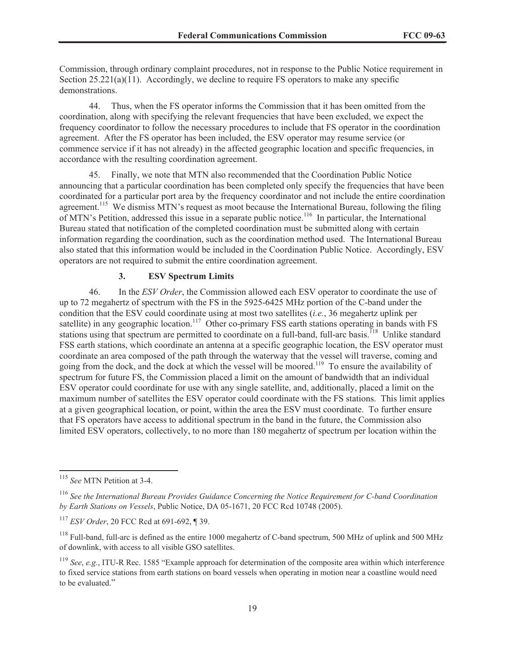Commission, through ordinary complaint procedures, not in response to the Public Notice requirement in Section  $25.221(a)(11)$ . Accordingly, we decline to require FS operators to make any specific demonstrations.

44. Thus, when the FS operator informs the Commission that it has been omitted from the coordination, along with specifying the relevant frequencies that have been excluded, we expect the frequency coordinator to follow the necessary procedures to include that FS operator in the coordination agreement. After the FS operator has been included, the ESV operator may resume service (or commence service if it has not already) in the affected geographic location and specific frequencies, in accordance with the resulting coordination agreement.

45. Finally, we note that MTN also recommended that the Coordination Public Notice announcing that a particular coordination has been completed only specify the frequencies that have been coordinated for a particular port area by the frequency coordinator and not include the entire coordination agreement.<sup>115</sup> We dismiss MTN's request as moot because the International Bureau, following the filing of MTN's Petition, addressed this issue in a separate public notice.<sup>116</sup> In particular, the International Bureau stated that notification of the completed coordination must be submitted along with certain information regarding the coordination, such as the coordination method used. The International Bureau also stated that this information would be included in the Coordination Public Notice. Accordingly, ESV operators are not required to submit the entire coordination agreement.

## **3. ESV Spectrum Limits**

46. In the *ESV Order*, the Commission allowed each ESV operator to coordinate the use of up to 72 megahertz of spectrum with the FS in the 5925-6425 MHz portion of the C-band under the condition that the ESV could coordinate using at most two satellites (*i.e.*, 36 megahertz uplink per satellite) in any geographic location.<sup>117</sup> Other co-primary FSS earth stations operating in bands with FS stations using that spectrum are permitted to coordinate on a full-band, full-arc basis.<sup>118</sup> Unlike standard FSS earth stations, which coordinate an antenna at a specific geographic location, the ESV operator must coordinate an area composed of the path through the waterway that the vessel will traverse, coming and going from the dock, and the dock at which the vessel will be moored.<sup>119</sup> To ensure the availability of spectrum for future FS, the Commission placed a limit on the amount of bandwidth that an individual ESV operator could coordinate for use with any single satellite, and, additionally, placed a limit on the maximum number of satellites the ESV operator could coordinate with the FS stations. This limit applies at a given geographical location, or point, within the area the ESV must coordinate. To further ensure that FS operators have access to additional spectrum in the band in the future, the Commission also limited ESV operators, collectively, to no more than 180 megahertz of spectrum per location within the

<sup>115</sup> *See* MTN Petition at 3-4.

<sup>116</sup> *See the International Bureau Provides Guidance Concerning the Notice Requirement for C-band Coordination by Earth Stations on Vessels*, Public Notice, DA 05-1671, 20 FCC Rcd 10748 (2005).

<sup>117</sup> *ESV Order*, 20 FCC Rcd at 691-692, ¶ 39.

 $^{118}$  Full-band, full-arc is defined as the entire 1000 megahertz of C-band spectrum, 500 MHz of uplink and 500 MHz of downlink, with access to all visible GSO satellites.

<sup>119</sup> *See*, *e.g.*, ITU-R Rec. 1585 "Example approach for determination of the composite area within which interference to fixed service stations from earth stations on board vessels when operating in motion near a coastline would need to be evaluated."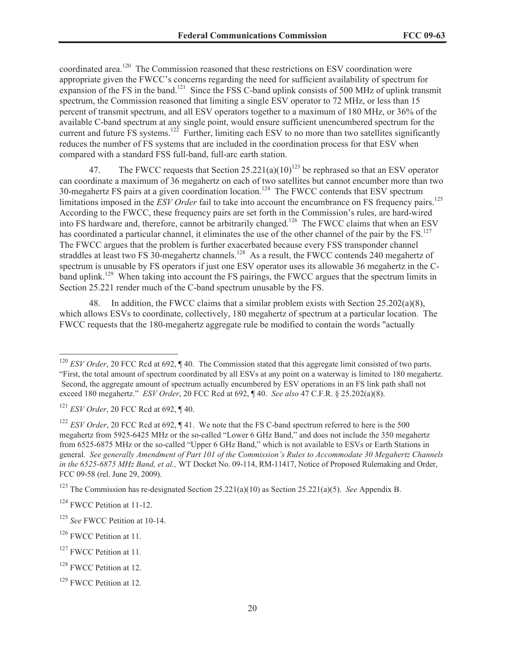coordinated area.<sup>120</sup> The Commission reasoned that these restrictions on ESV coordination were appropriate given the FWCC's concerns regarding the need for sufficient availability of spectrum for expansion of the FS in the band.<sup>121</sup> Since the FSS C-band uplink consists of 500 MHz of uplink transmit spectrum, the Commission reasoned that limiting a single ESV operator to 72 MHz, or less than 15 percent of transmit spectrum, and all ESV operators together to a maximum of 180 MHz, or 36% of the available C-band spectrum at any single point, would ensure sufficient unencumbered spectrum for the current and future FS systems.<sup>122</sup> Further, limiting each ESV to no more than two satellites significantly reduces the number of FS systems that are included in the coordination process for that ESV when compared with a standard FSS full-band, full-arc earth station.

47. The FWCC requests that Section  $25.221(a)(10)^{123}$  be rephrased so that an ESV operator can coordinate a maximum of 36 megahertz on each of two satellites but cannot encumber more than two 30-megahertz FS pairs at a given coordination location.<sup>124</sup> The FWCC contends that ESV spectrum limitations imposed in the *ESV Order* fail to take into account the encumbrance on FS frequency pairs.<sup>125</sup> According to the FWCC, these frequency pairs are set forth in the Commission's rules, are hard-wired into FS hardware and, therefore, cannot be arbitrarily changed.<sup>126</sup> The FWCC claims that when an ESV has coordinated a particular channel, it eliminates the use of the other channel of the pair by the FS.<sup>127</sup> The FWCC argues that the problem is further exacerbated because every FSS transponder channel straddles at least two FS 30-megahertz channels.<sup>128</sup> As a result, the FWCC contends 240 megahertz of spectrum is unusable by FS operators if just one ESV operator uses its allowable 36 megahertz in the Cband uplink.<sup>129</sup> When taking into account the FS pairings, the FWCC argues that the spectrum limits in Section 25.221 render much of the C-band spectrum unusable by the FS.

48. In addition, the FWCC claims that a similar problem exists with Section 25.202(a)(8), which allows ESVs to coordinate, collectively, 180 megahertz of spectrum at a particular location. The FWCC requests that the 180-megahertz aggregate rule be modified to contain the words "actually

<sup>123</sup> The Commission has re-designated Section 25.221(a)(10) as Section 25.221(a)(5). *See* Appendix B.

<sup>&</sup>lt;sup>120</sup> *ESV Order*, 20 FCC Rcd at 692, ¶ 40. The Commission stated that this aggregate limit consisted of two parts. "First, the total amount of spectrum coordinated by all ESVs at any point on a waterway is limited to 180 megahertz. Second, the aggregate amount of spectrum actually encumbered by ESV operations in an FS link path shall not exceed 180 megahertz." *ESV Order*, 20 FCC Rcd at 692, ¶ 40. *See also* 47 C.F.R. § 25.202(a)(8).

<sup>121</sup> *ESV Order*, 20 FCC Rcd at 692, ¶ 40.

<sup>&</sup>lt;sup>122</sup> *ESV Order*, 20 FCC Rcd at 692, ¶ 41. We note that the FS C-band spectrum referred to here is the 500 megahertz from 5925-6425 MHz or the so-called "Lower 6 GHz Band," and does not include the 350 megahertz from 6525-6875 MHz or the so-called "Upper 6 GHz Band," which is not available to ESVs or Earth Stations in general*. See generally Amendment of Part 101 of the Commission's Rules to Accommodate 30 Megahertz Channels in the 6525-6875 MHz Band, et al.,* WT Docket No. 09-114, RM-11417, Notice of Proposed Rulemaking and Order, FCC 09-58 (rel. June 29, 2009).

<sup>&</sup>lt;sup>124</sup> FWCC Petition at 11-12.

<sup>125</sup> *See* FWCC Petition at 10-14.

<sup>&</sup>lt;sup>126</sup> FWCC Petition at 11.

<sup>&</sup>lt;sup>127</sup> FWCC Petition at 11.

<sup>&</sup>lt;sup>128</sup> FWCC Petition at 12.

<sup>&</sup>lt;sup>129</sup> FWCC Petition at 12.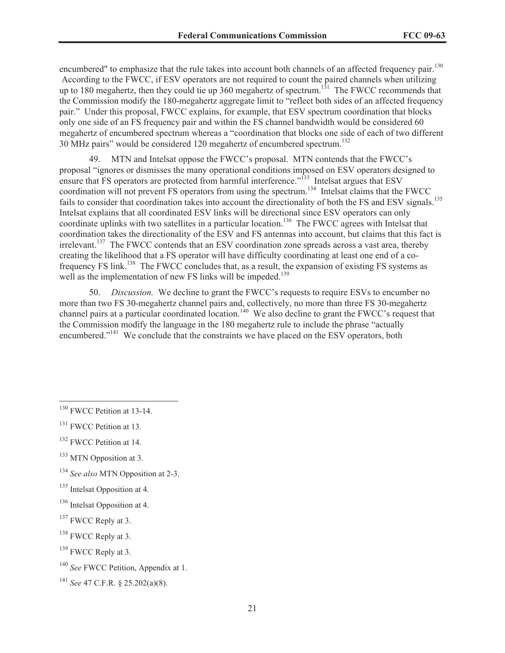encumbered" to emphasize that the rule takes into account both channels of an affected frequency pair.<sup>130</sup> According to the FWCC, if ESV operators are not required to count the paired channels when utilizing up to 180 megahertz, then they could tie up 360 megahertz of spectrum.<sup>131</sup> The FWCC recommends that the Commission modify the 180-megahertz aggregate limit to "reflect both sides of an affected frequency pair." Under this proposal, FWCC explains, for example, that ESV spectrum coordination that blocks only one side of an FS frequency pair and within the FS channel bandwidth would be considered 60 megahertz of encumbered spectrum whereas a "coordination that blocks one side of each of two different 30 MHz pairs" would be considered 120 megahertz of encumbered spectrum.<sup>132</sup>

49. MTN and Intelsat oppose the FWCC's proposal. MTN contends that the FWCC's proposal "ignores or dismisses the many operational conditions imposed on ESV operators designed to ensure that FS operators are protected from harmful interference."<sup>133</sup> Intelsat argues that ESV coordination will not prevent FS operators from using the spectrum.<sup>134</sup> Intelsat claims that the FWCC fails to consider that coordination takes into account the directionality of both the FS and ESV signals.<sup>135</sup> Intelsat explains that all coordinated ESV links will be directional since ESV operators can only coordinate uplinks with two satellites in a particular location.<sup>136</sup> The FWCC agrees with Intelsat that coordination takes the directionality of the ESV and FS antennas into account, but claims that this fact is irrelevant.<sup>137</sup> The FWCC contends that an ESV coordination zone spreads across a vast area, thereby creating the likelihood that a FS operator will have difficulty coordinating at least one end of a cofrequency FS link.<sup>138</sup> The FWCC concludes that, as a result, the expansion of existing FS systems as well as the implementation of new FS links will be impeded.<sup>139</sup>

50. *Discussion.* We decline to grant the FWCC's requests to require ESVs to encumber no more than two FS 30-megahertz channel pairs and, collectively, no more than three FS 30-megahertz channel pairs at a particular coordinated location.<sup>140</sup> We also decline to grant the FWCC's request that the Commission modify the language in the 180 megahertz rule to include the phrase "actually encumbered."<sup>141</sup> We conclude that the constraints we have placed on the ESV operators, both

<sup>&</sup>lt;sup>130</sup> FWCC Petition at 13-14.

<sup>&</sup>lt;sup>131</sup> FWCC Petition at 13.

<sup>&</sup>lt;sup>132</sup> FWCC Petition at 14.

 $133$  MTN Opposition at 3.

<sup>134</sup> *See also* MTN Opposition at 2-3.

<sup>&</sup>lt;sup>135</sup> Intelsat Opposition at 4.

<sup>136</sup> Intelsat Opposition at 4.

<sup>&</sup>lt;sup>137</sup> FWCC Reply at 3.

<sup>&</sup>lt;sup>138</sup> FWCC Reply at 3.

<sup>&</sup>lt;sup>139</sup> FWCC Reply at 3.

<sup>140</sup> *See* FWCC Petition, Appendix at 1.

<sup>141</sup> *See* 47 C.F.R. § 25.202(a)(8).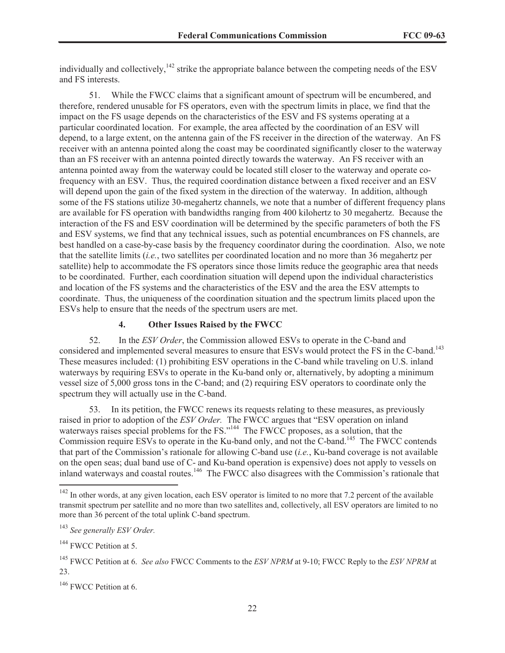individually and collectively,<sup>142</sup> strike the appropriate balance between the competing needs of the ESV and FS interests.

51. While the FWCC claims that a significant amount of spectrum will be encumbered, and therefore, rendered unusable for FS operators, even with the spectrum limits in place, we find that the impact on the FS usage depends on the characteristics of the ESV and FS systems operating at a particular coordinated location. For example, the area affected by the coordination of an ESV will depend, to a large extent, on the antenna gain of the FS receiver in the direction of the waterway. An FS receiver with an antenna pointed along the coast may be coordinated significantly closer to the waterway than an FS receiver with an antenna pointed directly towards the waterway. An FS receiver with an antenna pointed away from the waterway could be located still closer to the waterway and operate cofrequency with an ESV. Thus, the required coordination distance between a fixed receiver and an ESV will depend upon the gain of the fixed system in the direction of the waterway. In addition, although some of the FS stations utilize 30-megahertz channels, we note that a number of different frequency plans are available for FS operation with bandwidths ranging from 400 kilohertz to 30 megahertz. Because the interaction of the FS and ESV coordination will be determined by the specific parameters of both the FS and ESV systems, we find that any technical issues, such as potential encumbrances on FS channels, are best handled on a case-by-case basis by the frequency coordinator during the coordination. Also, we note that the satellite limits (*i.e.*, two satellites per coordinated location and no more than 36 megahertz per satellite) help to accommodate the FS operators since those limits reduce the geographic area that needs to be coordinated. Further, each coordination situation will depend upon the individual characteristics and location of the FS systems and the characteristics of the ESV and the area the ESV attempts to coordinate. Thus, the uniqueness of the coordination situation and the spectrum limits placed upon the ESVs help to ensure that the needs of the spectrum users are met.

#### **4. Other Issues Raised by the FWCC**

52. In the *ESV Order*, the Commission allowed ESVs to operate in the C-band and considered and implemented several measures to ensure that ESVs would protect the FS in the C-band.<sup>143</sup> These measures included: (1) prohibiting ESV operations in the C-band while traveling on U.S. inland waterways by requiring ESVs to operate in the Ku-band only or, alternatively, by adopting a minimum vessel size of 5,000 gross tons in the C-band; and (2) requiring ESV operators to coordinate only the spectrum they will actually use in the C-band.

53. In its petition, the FWCC renews its requests relating to these measures, as previously raised in prior to adoption of the *ESV Order.* The FWCC argues that "ESV operation on inland waterways raises special problems for the FS."<sup>144</sup> The FWCC proposes, as a solution, that the Commission require ESVs to operate in the Ku-band only, and not the C-band.<sup>145</sup> The FWCC contends that part of the Commission's rationale for allowing C-band use (*i.e.*, Ku-band coverage is not available on the open seas; dual band use of C- and Ku-band operation is expensive) does not apply to vessels on inland waterways and coastal routes.<sup>146</sup> The FWCC also disagrees with the Commission's rationale that

<sup>&</sup>lt;sup>142</sup> In other words, at any given location, each ESV operator is limited to no more that 7.2 percent of the available transmit spectrum per satellite and no more than two satellites and, collectively, all ESV operators are limited to no more than 36 percent of the total uplink C-band spectrum.

<sup>143</sup> *See generally ESV Order.*

<sup>&</sup>lt;sup>144</sup> FWCC Petition at 5.

<sup>145</sup> FWCC Petition at 6. *See also* FWCC Comments to the *ESV NPRM* at 9-10; FWCC Reply to the *ESV NPRM* at 23.

<sup>&</sup>lt;sup>146</sup> FWCC Petition at 6.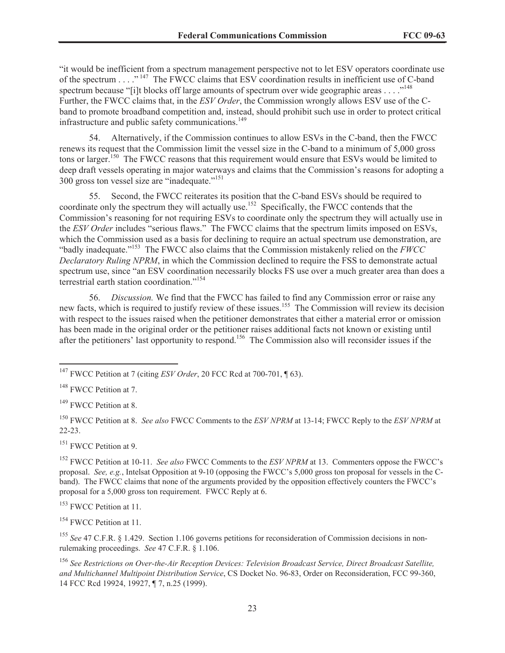"it would be inefficient from a spectrum management perspective not to let ESV operators coordinate use of the spectrum . . . ." <sup>147</sup> The FWCC claims that ESV coordination results in inefficient use of C-band spectrum because "[i]t blocks off large amounts of spectrum over wide geographic areas  $\dots$ ."<sup>148</sup> Further, the FWCC claims that, in the *ESV Order*, the Commission wrongly allows ESV use of the Cband to promote broadband competition and, instead, should prohibit such use in order to protect critical infrastructure and public safety communications.<sup>149</sup>

54. Alternatively, if the Commission continues to allow ESVs in the C-band, then the FWCC renews its request that the Commission limit the vessel size in the C-band to a minimum of 5,000 gross tons or larger.<sup>150</sup> The FWCC reasons that this requirement would ensure that ESVs would be limited to deep draft vessels operating in major waterways and claims that the Commission's reasons for adopting a 300 gross ton vessel size are "inadequate."<sup>151</sup>

55. Second, the FWCC reiterates its position that the C-band ESVs should be required to coordinate only the spectrum they will actually use.<sup>152</sup> Specifically, the FWCC contends that the Commission's reasoning for not requiring ESVs to coordinate only the spectrum they will actually use in the *ESV Order* includes "serious flaws." The FWCC claims that the spectrum limits imposed on ESVs, which the Commission used as a basis for declining to require an actual spectrum use demonstration, are "badly inadequate."<sup>153</sup> The FWCC also claims that the Commission mistakenly relied on the *FWCC Declaratory Ruling NPRM*, in which the Commission declined to require the FSS to demonstrate actual spectrum use, since "an ESV coordination necessarily blocks FS use over a much greater area than does a terrestrial earth station coordination."<sup>154</sup>

56. *Discussion.* We find that the FWCC has failed to find any Commission error or raise any new facts, which is required to justify review of these issues.<sup>155</sup> The Commission will review its decision with respect to the issues raised when the petitioner demonstrates that either a material error or omission has been made in the original order or the petitioner raises additional facts not known or existing until after the petitioners' last opportunity to respond.<sup>156</sup> The Commission also will reconsider issues if the

<sup>151</sup> FWCC Petition at 9.

<sup>153</sup> FWCC Petition at 11.

<sup>154</sup> FWCC Petition at 11.

<sup>155</sup> See 47 C.F.R. § 1.429. Section 1.106 governs petitions for reconsideration of Commission decisions in nonrulemaking proceedings. *See* 47 C.F.R. § 1.106.

<sup>147</sup> FWCC Petition at 7 (citing *ESV Order*, 20 FCC Rcd at 700-701, ¶ 63).

<sup>&</sup>lt;sup>148</sup> FWCC Petition at 7.

<sup>&</sup>lt;sup>149</sup> FWCC Petition at 8.

<sup>150</sup> FWCC Petition at 8. *See also* FWCC Comments to the *ESV NPRM* at 13-14; FWCC Reply to the *ESV NPRM* at 22-23.

<sup>152</sup> FWCC Petition at 10-11. *See also* FWCC Comments to the *ESV NPRM* at 13. Commenters oppose the FWCC's proposal. *See, e.g.*, Intelsat Opposition at 9-10 (opposing the FWCC's 5,000 gross ton proposal for vessels in the Cband). The FWCC claims that none of the arguments provided by the opposition effectively counters the FWCC's proposal for a 5,000 gross ton requirement. FWCC Reply at 6.

<sup>156</sup> *See Restrictions on Over-the-Air Reception Devices: Television Broadcast Service, Direct Broadcast Satellite, and Multichannel Multipoint Distribution Service*, CS Docket No. 96-83, Order on Reconsideration, FCC 99-360, 14 FCC Rcd 19924, 19927, ¶ 7, n.25 (1999).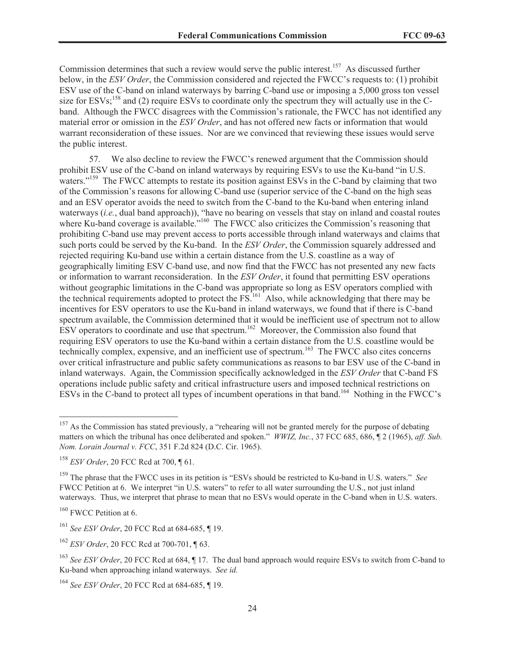Commission determines that such a review would serve the public interest.<sup>157</sup> As discussed further below, in the *ESV Order*, the Commission considered and rejected the FWCC's requests to: (1) prohibit ESV use of the C-band on inland waterways by barring C-band use or imposing a 5,000 gross ton vessel size for ESVs;<sup>158</sup> and (2) require ESVs to coordinate only the spectrum they will actually use in the Cband. Although the FWCC disagrees with the Commission's rationale, the FWCC has not identified any material error or omission in the *ESV Order*, and has not offered new facts or information that would warrant reconsideration of these issues. Nor are we convinced that reviewing these issues would serve the public interest.

57. We also decline to review the FWCC's renewed argument that the Commission should prohibit ESV use of the C-band on inland waterways by requiring ESVs to use the Ku-band "in U.S. waters."<sup>159</sup> The FWCC attempts to restate its position against ESVs in the C-band by claiming that two of the Commission's reasons for allowing C-band use (superior service of the C-band on the high seas and an ESV operator avoids the need to switch from the C-band to the Ku-band when entering inland waterways (*i.e.*, dual band approach)), "have no bearing on vessels that stay on inland and coastal routes where Ku-band coverage is available."<sup>160</sup> The FWCC also criticizes the Commission's reasoning that prohibiting C-band use may prevent access to ports accessible through inland waterways and claims that such ports could be served by the Ku-band. In the *ESV Order*, the Commission squarely addressed and rejected requiring Ku-band use within a certain distance from the U.S. coastline as a way of geographically limiting ESV C-band use, and now find that the FWCC has not presented any new facts or information to warrant reconsideration. In the *ESV Order*, it found that permitting ESV operations without geographic limitations in the C-band was appropriate so long as ESV operators complied with the technical requirements adopted to protect the FS.<sup>161</sup> Also, while acknowledging that there may be incentives for ESV operators to use the Ku-band in inland waterways, we found that if there is C-band spectrum available, the Commission determined that it would be inefficient use of spectrum not to allow ESV operators to coordinate and use that spectrum.<sup>162</sup> Moreover, the Commission also found that requiring ESV operators to use the Ku-band within a certain distance from the U.S. coastline would be technically complex, expensive, and an inefficient use of spectrum.<sup>163</sup> The FWCC also cites concerns over critical infrastructure and public safety communications as reasons to bar ESV use of the C-band in inland waterways. Again, the Commission specifically acknowledged in the *ESV Order* that C-band FS operations include public safety and critical infrastructure users and imposed technical restrictions on ESVs in the C-band to protect all types of incumbent operations in that band.<sup>164</sup> Nothing in the FWCC's

 $157$  As the Commission has stated previously, a "rehearing will not be granted merely for the purpose of debating matters on which the tribunal has once deliberated and spoken." *WWIZ, Inc.*, 37 FCC 685, 686, ¶ 2 (1965), *aff. Sub. Nom. Lorain Journal v. FCC*, 351 F.2d 824 (D.C. Cir. 1965).

<sup>158</sup> *ESV Order*, 20 FCC Rcd at 700, ¶ 61.

<sup>159</sup> The phrase that the FWCC uses in its petition is "ESVs should be restricted to Ku-band in U.S. waters." *See* FWCC Petition at 6. We interpret "in U.S. waters" to refer to all water surrounding the U.S., not just inland waterways. Thus, we interpret that phrase to mean that no ESVs would operate in the C-band when in U.S. waters.

<sup>&</sup>lt;sup>160</sup> FWCC Petition at 6.

<sup>161</sup> *See ESV Order*, 20 FCC Rcd at 684-685, ¶ 19.

<sup>162</sup> *ESV Order*, 20 FCC Rcd at 700-701, ¶ 63.

<sup>&</sup>lt;sup>163</sup> See ESV Order, 20 FCC Rcd at 684, ¶ 17. The dual band approach would require ESVs to switch from C-band to Ku-band when approaching inland waterways. *See id.* 

<sup>164</sup> *See ESV Order*, 20 FCC Rcd at 684-685, ¶ 19.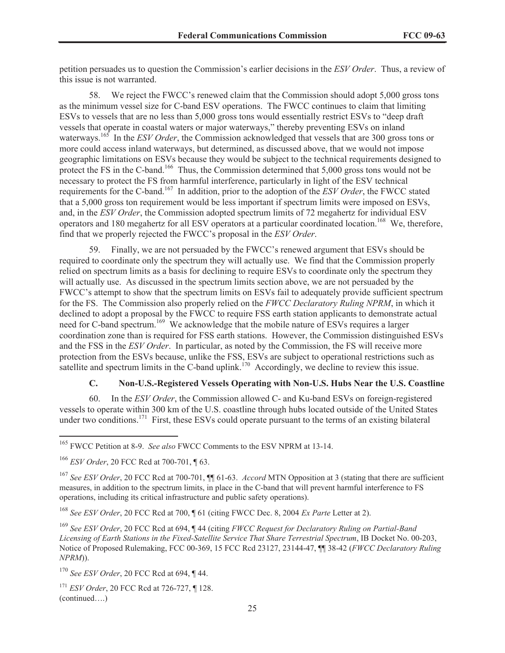petition persuades us to question the Commission's earlier decisions in the *ESV Order*. Thus, a review of this issue is not warranted.

58. We reject the FWCC's renewed claim that the Commission should adopt 5,000 gross tons as the minimum vessel size for C-band ESV operations. The FWCC continues to claim that limiting ESVs to vessels that are no less than 5,000 gross tons would essentially restrict ESVs to "deep draft vessels that operate in coastal waters or major waterways," thereby preventing ESVs on inland waterways.<sup>165</sup> In the *ESV Order*, the Commission acknowledged that vessels that are 300 gross tons or more could access inland waterways, but determined, as discussed above, that we would not impose geographic limitations on ESVs because they would be subject to the technical requirements designed to protect the FS in the C-band.<sup>166</sup> Thus, the Commission determined that 5,000 gross tons would not be necessary to protect the FS from harmful interference, particularly in light of the ESV technical requirements for the C-band.<sup>167</sup> In addition, prior to the adoption of the *ESV Order*, the FWCC stated that a 5,000 gross ton requirement would be less important if spectrum limits were imposed on ESVs, and, in the *ESV Order*, the Commission adopted spectrum limits of 72 megahertz for individual ESV operators and 180 megahertz for all ESV operators at a particular coordinated location.<sup>168</sup> We, therefore, find that we properly rejected the FWCC's proposal in the *ESV Order*.

59. Finally, we are not persuaded by the FWCC's renewed argument that ESVs should be required to coordinate only the spectrum they will actually use. We find that the Commission properly relied on spectrum limits as a basis for declining to require ESVs to coordinate only the spectrum they will actually use. As discussed in the spectrum limits section above, we are not persuaded by the FWCC's attempt to show that the spectrum limits on ESVs fail to adequately provide sufficient spectrum for the FS. The Commission also properly relied on the *FWCC Declaratory Ruling NPRM*, in which it declined to adopt a proposal by the FWCC to require FSS earth station applicants to demonstrate actual need for C-band spectrum.<sup>169</sup> We acknowledge that the mobile nature of ESVs requires a larger coordination zone than is required for FSS earth stations. However, the Commission distinguished ESVs and the FSS in the *ESV Order*. In particular, as noted by the Commission, the FS will receive more protection from the ESVs because, unlike the FSS, ESVs are subject to operational restrictions such as satellite and spectrum limits in the C-band uplink.<sup>170</sup> Accordingly, we decline to review this issue.

# **C. Non-U.S.-Registered Vessels Operating with Non-U.S. Hubs Near the U.S. Coastline**

60. In the *ESV Order*, the Commission allowed C- and Ku-band ESVs on foreign-registered vessels to operate within 300 km of the U.S. coastline through hubs located outside of the United States under two conditions.<sup>171</sup> First, these ESVs could operate pursuant to the terms of an existing bilateral

<sup>165</sup> FWCC Petition at 8-9. *See also* FWCC Comments to the ESV NPRM at 13-14.

<sup>166</sup> *ESV Order*, 20 FCC Rcd at 700-701, ¶ 63.

<sup>167</sup> *See ESV Order*, 20 FCC Rcd at 700-701, ¶¶ 61-63. *Accord* MTN Opposition at 3 (stating that there are sufficient measures, in addition to the spectrum limits, in place in the C-band that will prevent harmful interference to FS operations, including its critical infrastructure and public safety operations).

<sup>168</sup> *See ESV Order*, 20 FCC Rcd at 700, ¶ 61 (citing FWCC Dec. 8, 2004 *Ex Parte* Letter at 2).

<sup>169</sup> *See ESV Order*, 20 FCC Rcd at 694, ¶ 44 (citing *FWCC Request for Declaratory Ruling on Partial-Band Licensing of Earth Stations in the Fixed-Satellite Service That Share Terrestrial Spectrum*, IB Docket No. 00-203, Notice of Proposed Rulemaking, FCC 00-369, 15 FCC Rcd 23127, 23144-47, ¶¶ 38-42 (*FWCC Declaratory Ruling NPRM*)).

<sup>170</sup> *See ESV Order*, 20 FCC Rcd at 694, ¶ 44.

<sup>171</sup> *ESV Order*, 20 FCC Rcd at 726-727, ¶ 128. (continued….)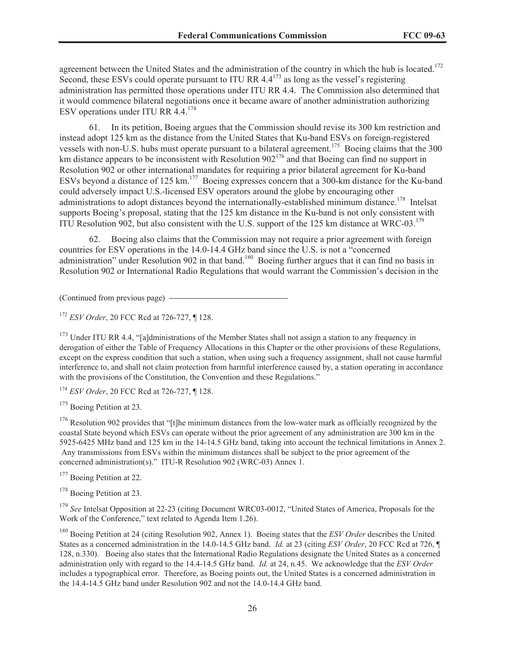agreement between the United States and the administration of the country in which the hub is located.<sup>172</sup> Second, these ESVs could operate pursuant to ITU RR 4.4<sup>173</sup> as long as the vessel's registering administration has permitted those operations under ITU RR 4.4. The Commission also determined that it would commence bilateral negotiations once it became aware of another administration authorizing ESV operations under ITU RR  $4.4$ <sup>174</sup>

61. In its petition, Boeing argues that the Commission should revise its 300 km restriction and instead adopt 125 km as the distance from the United States that Ku-band ESVs on foreign-registered vessels with non-U.S. hubs must operate pursuant to a bilateral agreement.<sup>175</sup> Boeing claims that the 300 km distance appears to be inconsistent with Resolution  $902^{176}$  and that Boeing can find no support in Resolution 902 or other international mandates for requiring a prior bilateral agreement for Ku-band ESVs beyond a distance of 125 km.<sup>177</sup> Boeing expresses concern that a 300-km distance for the Ku-band could adversely impact U.S.-licensed ESV operators around the globe by encouraging other administrations to adopt distances beyond the internationally-established minimum distance.<sup>178</sup> Intelsat supports Boeing's proposal, stating that the 125 km distance in the Ku-band is not only consistent with ITU Resolution 902, but also consistent with the U.S. support of the 125 km distance at WRC-03.<sup>179</sup>

62. Boeing also claims that the Commission may not require a prior agreement with foreign countries for ESV operations in the 14.0-14.4 GHz band since the U.S. is not a "concerned administration" under Resolution 902 in that band.<sup>180</sup> Boeing further argues that it can find no basis in Resolution 902 or International Radio Regulations that would warrant the Commission's decision in the

(Continued from previous page)

<sup>172</sup> *ESV Order*, 20 FCC Rcd at 726-727, ¶ 128.

<sup>173</sup> Under ITU RR 4.4, "[a]dministrations of the Member States shall not assign a station to any frequency in derogation of either the Table of Frequency Allocations in this Chapter or the other provisions of these Regulations, except on the express condition that such a station, when using such a frequency assignment, shall not cause harmful interference to, and shall not claim protection from harmful interference caused by, a station operating in accordance with the provisions of the Constitution, the Convention and these Regulations."

<sup>174</sup> *ESV Order*, 20 FCC Rcd at 726-727, ¶ 128.

<sup>175</sup> Boeing Petition at 23.

<sup>176</sup> Resolution 902 provides that "[t]he minimum distances from the low-water mark as officially recognized by the coastal State beyond which ESVs can operate without the prior agreement of any administration are 300 km in the 5925-6425 MHz band and 125 km in the 14-14.5 GHz band, taking into account the technical limitations in Annex 2. Any transmissions from ESVs within the minimum distances shall be subject to the prior agreement of the concerned administration(s)." ITU-R Resolution 902 (WRC-03) Annex 1.

<sup>177</sup> Boeing Petition at 22.

<sup>178</sup> Boeing Petition at 23.

<sup>179</sup> *See* Intelsat Opposition at 22-23 (citing Document WRC03-0012, "United States of America, Proposals for the Work of the Conference," text related to Agenda Item 1.26).

<sup>180</sup> Boeing Petition at 24 (citing Resolution 902, Annex 1). Boeing states that the *ESV Order* describes the United States as a concerned administration in the 14.0-14.5 GHz band. *Id.* at 23 (citing *ESV Order*, 20 FCC Rcd at 726, ¶ 128, n.330). Boeing also states that the International Radio Regulations designate the United States as a concerned administration only with regard to the 14.4-14.5 GHz band. *Id.* at 24, n.45. We acknowledge that the *ESV Order*  includes a typographical error. Therefore, as Boeing points out, the United States is a concerned administration in the 14.4-14.5 GHz band under Resolution 902 and not the 14.0-14.4 GHz band.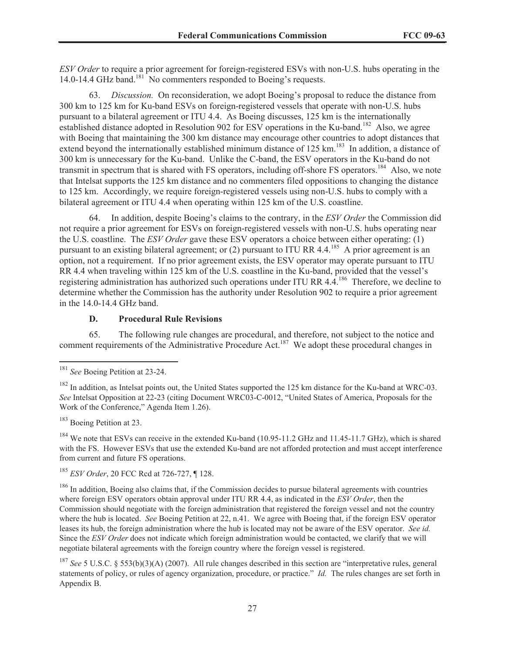*ESV Order* to require a prior agreement for foreign-registered ESVs with non-U.S. hubs operating in the 14.0-14.4 GHz band.<sup>181</sup> No commenters responded to Boeing's requests.

63. *Discussion.* On reconsideration, we adopt Boeing's proposal to reduce the distance from 300 km to 125 km for Ku-band ESVs on foreign-registered vessels that operate with non-U.S. hubs pursuant to a bilateral agreement or ITU 4.4. As Boeing discusses, 125 km is the internationally established distance adopted in Resolution 902 for ESV operations in the Ku-band.<sup>182</sup> Also, we agree with Boeing that maintaining the 300 km distance may encourage other countries to adopt distances that extend beyond the internationally established minimum distance of 125 km.<sup>183</sup> In addition, a distance of 300 km is unnecessary for the Ku-band. Unlike the C-band, the ESV operators in the Ku-band do not transmit in spectrum that is shared with FS operators, including off-shore FS operators.<sup>184</sup> Also, we note that Intelsat supports the 125 km distance and no commenters filed oppositions to changing the distance to 125 km. Accordingly, we require foreign-registered vessels using non-U.S. hubs to comply with a bilateral agreement or ITU 4.4 when operating within 125 km of the U.S. coastline.

64. In addition, despite Boeing's claims to the contrary, in the *ESV Order* the Commission did not require a prior agreement for ESVs on foreign-registered vessels with non-U.S. hubs operating near the U.S. coastline. The *ESV Order* gave these ESV operators a choice between either operating: (1) pursuant to an existing bilateral agreement; or  $(2)$  pursuant to ITU RR 4.4.<sup>185</sup> A prior agreement is an option, not a requirement. If no prior agreement exists, the ESV operator may operate pursuant to ITU RR 4.4 when traveling within 125 km of the U.S. coastline in the Ku-band, provided that the vessel's registering administration has authorized such operations under ITU RR 4.4.<sup>186</sup> Therefore, we decline to determine whether the Commission has the authority under Resolution 902 to require a prior agreement in the 14.0-14.4 GHz band.

#### **D. Procedural Rule Revisions**

65. The following rule changes are procedural, and therefore, not subject to the notice and comment requirements of the Administrative Procedure Act.<sup>187</sup> We adopt these procedural changes in

<sup>183</sup> Boeing Petition at 23.

<sup>184</sup> We note that ESVs can receive in the extended Ku-band (10.95-11.2 GHz and 11.45-11.7 GHz), which is shared with the FS. However ESVs that use the extended Ku-band are not afforded protection and must accept interference from current and future FS operations.

<sup>185</sup> *ESV Order*, 20 FCC Rcd at 726-727, ¶ 128.

<sup>186</sup> In addition, Boeing also claims that, if the Commission decides to pursue bilateral agreements with countries where foreign ESV operators obtain approval under ITU RR 4.4, as indicated in the *ESV Order*, then the Commission should negotiate with the foreign administration that registered the foreign vessel and not the country where the hub is located. *See* Boeing Petition at 22, n.41. We agree with Boeing that, if the foreign ESV operator leases its hub, the foreign administration where the hub is located may not be aware of the ESV operator. *See id.* Since the *ESV Order* does not indicate which foreign administration would be contacted, we clarify that we will negotiate bilateral agreements with the foreign country where the foreign vessel is registered.

<sup>181</sup> *See* Boeing Petition at 23-24.

<sup>&</sup>lt;sup>182</sup> In addition, as Intelsat points out, the United States supported the 125 km distance for the Ku-band at WRC-03. *See* Intelsat Opposition at 22-23 (citing Document WRC03-C-0012, "United States of America, Proposals for the Work of the Conference," Agenda Item 1.26).

<sup>187</sup> *See* 5 U.S.C. § 553(b)(3)(A) (2007). All rule changes described in this section are "interpretative rules, general statements of policy, or rules of agency organization, procedure, or practice." *Id.* The rules changes are set forth in Appendix B.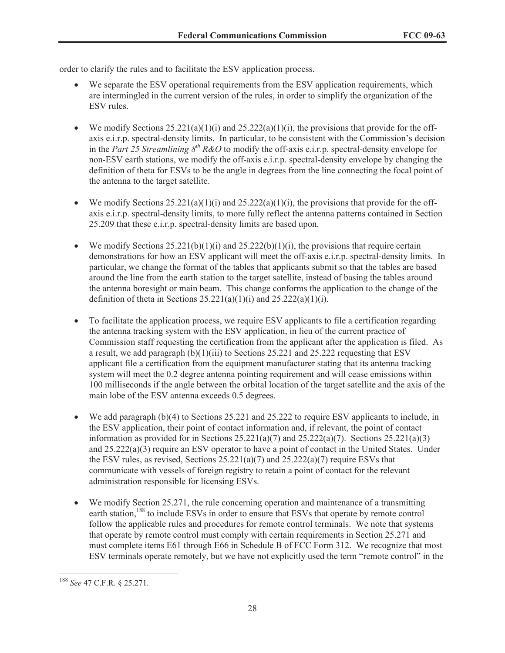order to clarify the rules and to facilitate the ESV application process.

- We separate the ESV operational requirements from the ESV application requirements, which are intermingled in the current version of the rules, in order to simplify the organization of the ESV rules.
- We modify Sections  $25.221(a)(1)(i)$  and  $25.222(a)(1)(i)$ , the provisions that provide for the offaxis e.i.r.p. spectral-density limits. In particular, to be consistent with the Commission's decision in the *Part 25 Streamlining 8th R&O* to modify the off-axis e.i.r.p. spectral-density envelope for non-ESV earth stations, we modify the off-axis e.i.r.p. spectral-density envelope by changing the definition of theta for ESVs to be the angle in degrees from the line connecting the focal point of the antenna to the target satellite.
- We modify Sections  $25.221(a)(1)(i)$  and  $25.222(a)(1)(i)$ , the provisions that provide for the offaxis e.i.r.p. spectral-density limits, to more fully reflect the antenna patterns contained in Section 25.209 that these e.i.r.p. spectral-density limits are based upon.
- We modify Sections  $25.221(b)(1)(i)$  and  $25.222(b)(1)(i)$ , the provisions that require certain demonstrations for how an ESV applicant will meet the off-axis e.i.r.p. spectral-density limits. In particular, we change the format of the tables that applicants submit so that the tables are based around the line from the earth station to the target satellite, instead of basing the tables around the antenna boresight or main beam. This change conforms the application to the change of the definition of theta in Sections  $25.221(a)(1)(i)$  and  $25.222(a)(1)(i)$ .
- To facilitate the application process, we require ESV applicants to file a certification regarding the antenna tracking system with the ESV application, in lieu of the current practice of Commission staff requesting the certification from the applicant after the application is filed. As a result, we add paragraph  $(b)(1)(iii)$  to Sections 25.221 and 25.222 requesting that ESV applicant file a certification from the equipment manufacturer stating that its antenna tracking system will meet the 0.2 degree antenna pointing requirement and will cease emissions within 100 milliseconds if the angle between the orbital location of the target satellite and the axis of the main lobe of the ESV antenna exceeds 0.5 degrees.
- · We add paragraph (b)(4) to Sections 25.221 and 25.222 to require ESV applicants to include, in the ESV application, their point of contact information and, if relevant, the point of contact information as provided for in Sections  $25.221(a)(7)$  and  $25.222(a)(7)$ . Sections  $25.221(a)(3)$ and 25.222(a)(3) require an ESV operator to have a point of contact in the United States. Under the ESV rules, as revised, Sections  $25.221(a)(7)$  and  $25.222(a)(7)$  require ESVs that communicate with vessels of foreign registry to retain a point of contact for the relevant administration responsible for licensing ESVs.
- We modify Section 25.271, the rule concerning operation and maintenance of a transmitting earth station,<sup>188</sup> to include ESVs in order to ensure that ESVs that operate by remote control follow the applicable rules and procedures for remote control terminals. We note that systems that operate by remote control must comply with certain requirements in Section 25.271 and must complete items E61 through E66 in Schedule B of FCC Form 312. We recognize that most ESV terminals operate remotely, but we have not explicitly used the term "remote control" in the

<sup>188</sup> *See* 47 C.F.R. § 25.271.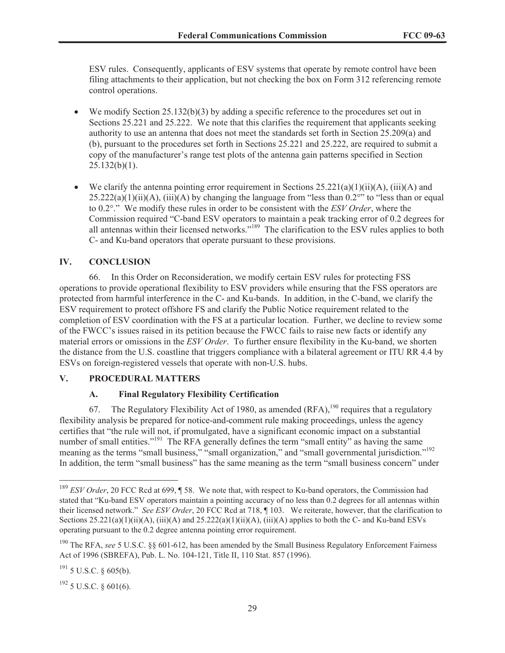ESV rules. Consequently, applicants of ESV systems that operate by remote control have been filing attachments to their application, but not checking the box on Form 312 referencing remote control operations.

- We modify Section 25.132(b)(3) by adding a specific reference to the procedures set out in Sections 25.221 and 25.222. We note that this clarifies the requirement that applicants seeking authority to use an antenna that does not meet the standards set forth in Section 25.209(a) and (b), pursuant to the procedures set forth in Sections 25.221 and 25.222, are required to submit a copy of the manufacturer's range test plots of the antenna gain patterns specified in Section  $25.132(b)(1)$ .
- We clarify the antenna pointing error requirement in Sections  $25.221(a)(1)(ii)(A)$ , (iii)(A) and  $25.222(a)(1)(ii)(A)$ , (iii)(A) by changing the language from "less than 0.2°" to "less than or equal to 0.2°." We modify these rules in order to be consistent with the *ESV Order*, where the Commission required "C-band ESV operators to maintain a peak tracking error of 0.2 degrees for all antennas within their licensed networks."<sup>189</sup> The clarification to the ESV rules applies to both C- and Ku-band operators that operate pursuant to these provisions.

# **IV. CONCLUSION**

66. In this Order on Reconsideration, we modify certain ESV rules for protecting FSS operations to provide operational flexibility to ESV providers while ensuring that the FSS operators are protected from harmful interference in the C- and Ku-bands. In addition, in the C-band, we clarify the ESV requirement to protect offshore FS and clarify the Public Notice requirement related to the completion of ESV coordination with the FS at a particular location. Further, we decline to review some of the FWCC's issues raised in its petition because the FWCC fails to raise new facts or identify any material errors or omissions in the *ESV Order*. To further ensure flexibility in the Ku-band, we shorten the distance from the U.S. coastline that triggers compliance with a bilateral agreement or ITU RR 4.4 by ESVs on foreign-registered vessels that operate with non-U.S. hubs.

## **V. PROCEDURAL MATTERS**

## **A. Final Regulatory Flexibility Certification**

67. The Regulatory Flexibility Act of 1980, as amended  $(RFA)$ , <sup>190</sup> requires that a regulatory flexibility analysis be prepared for notice-and-comment rule making proceedings, unless the agency certifies that "the rule will not, if promulgated, have a significant economic impact on a substantial number of small entities."<sup>191</sup> The RFA generally defines the term "small entity" as having the same meaning as the terms "small business," "small organization," and "small governmental jurisdiction."<sup>192</sup> In addition, the term "small business" has the same meaning as the term "small business concern" under

<sup>192</sup> 5 U.S.C. § 601(6).

<sup>&</sup>lt;sup>189</sup> *ESV Order*, 20 FCC Rcd at 699, ¶ 58. We note that, with respect to Ku-band operators, the Commission had stated that "Ku-band ESV operators maintain a pointing accuracy of no less than 0.2 degrees for all antennas within their licensed network." *See ESV Order*, 20 FCC Rcd at 718, ¶ 103. We reiterate, however, that the clarification to Sections  $25.221(a)(1)(ii)(A)$ ,  $(iii)(A)$  and  $25.222(a)(1)(ii)(A)$ ,  $(iii)(A)$  applies to both the C- and Ku-band ESVs operating pursuant to the 0.2 degree antenna pointing error requirement.

<sup>190</sup> The RFA, *see* 5 U.S.C. §§ 601-612, has been amended by the Small Business Regulatory Enforcement Fairness Act of 1996 (SBREFA), Pub. L. No. 104-121, Title II, 110 Stat. 857 (1996).

 $^{191}$  5 U.S.C. § 605(b).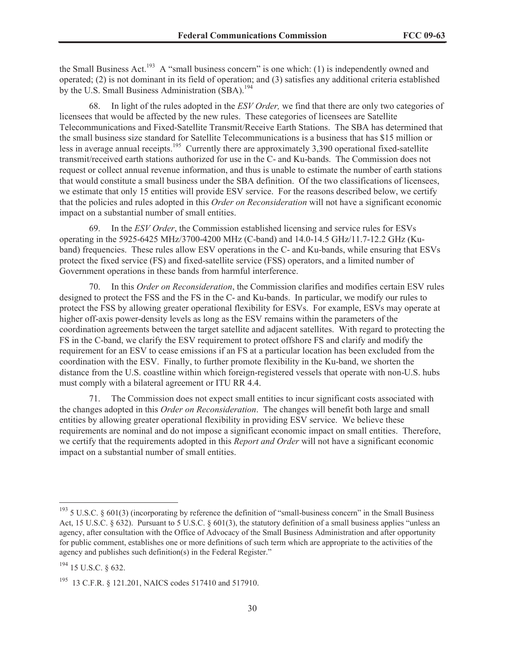the Small Business Act.<sup>193</sup> A "small business concern" is one which: (1) is independently owned and operated; (2) is not dominant in its field of operation; and (3) satisfies any additional criteria established by the U.S. Small Business Administration (SBA).<sup>194</sup>

68. In light of the rules adopted in the *ESV Order,* we find that there are only two categories of licensees that would be affected by the new rules. These categories of licensees are Satellite Telecommunications and Fixed-Satellite Transmit/Receive Earth Stations. The SBA has determined that the small business size standard for Satellite Telecommunications is a business that has \$15 million or less in average annual receipts.<sup>195</sup> Currently there are approximately 3,390 operational fixed-satellite transmit/received earth stations authorized for use in the C- and Ku-bands. The Commission does not request or collect annual revenue information, and thus is unable to estimate the number of earth stations that would constitute a small business under the SBA definition. Of the two classifications of licensees, we estimate that only 15 entities will provide ESV service. For the reasons described below, we certify that the policies and rules adopted in this *Order on Reconsideration* will not have a significant economic impact on a substantial number of small entities.

69. In the *ESV Order*, the Commission established licensing and service rules for ESVs operating in the 5925-6425 MHz/3700-4200 MHz (C-band) and 14.0-14.5 GHz/11.7-12.2 GHz (Kuband) frequencies. These rules allow ESV operations in the C- and Ku-bands, while ensuring that ESVs protect the fixed service (FS) and fixed-satellite service (FSS) operators, and a limited number of Government operations in these bands from harmful interference.

70. In this *Order on Reconsideration*, the Commission clarifies and modifies certain ESV rules designed to protect the FSS and the FS in the C- and Ku-bands. In particular, we modify our rules to protect the FSS by allowing greater operational flexibility for ESVs. For example, ESVs may operate at higher off-axis power-density levels as long as the ESV remains within the parameters of the coordination agreements between the target satellite and adjacent satellites. With regard to protecting the FS in the C-band, we clarify the ESV requirement to protect offshore FS and clarify and modify the requirement for an ESV to cease emissions if an FS at a particular location has been excluded from the coordination with the ESV. Finally, to further promote flexibility in the Ku-band, we shorten the distance from the U.S. coastline within which foreign-registered vessels that operate with non-U.S. hubs must comply with a bilateral agreement or ITU RR 4.4.

The Commission does not expect small entities to incur significant costs associated with the changes adopted in this *Order on Reconsideration*. The changes will benefit both large and small entities by allowing greater operational flexibility in providing ESV service. We believe these requirements are nominal and do not impose a significant economic impact on small entities. Therefore, we certify that the requirements adopted in this *Report and Order* will not have a significant economic impact on a substantial number of small entities.

 $193$  5 U.S.C. § 601(3) (incorporating by reference the definition of "small-business concern" in the Small Business Act, 15 U.S.C. § 632). Pursuant to 5 U.S.C. § 601(3), the statutory definition of a small business applies "unless an agency, after consultation with the Office of Advocacy of the Small Business Administration and after opportunity for public comment, establishes one or more definitions of such term which are appropriate to the activities of the agency and publishes such definition(s) in the Federal Register."

<sup>194</sup> 15 U.S.C. § 632.

<sup>195</sup> 13 C.F.R. § 121.201, NAICS codes 517410 and 517910.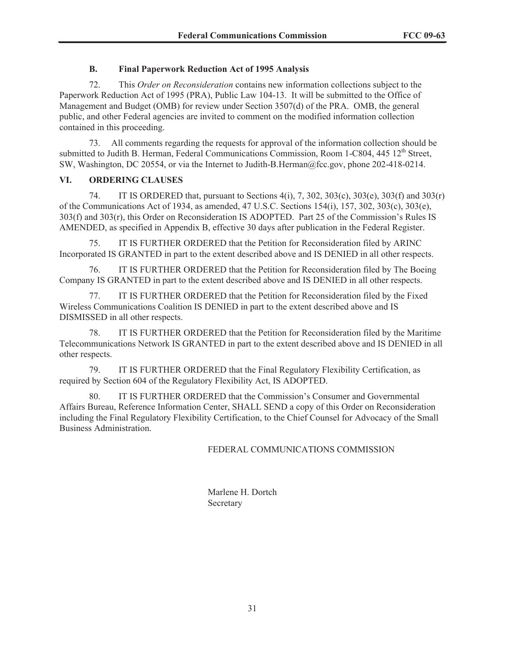# **B. Final Paperwork Reduction Act of 1995 Analysis**

72. This *Order on Reconsideration* contains new information collections subject to the Paperwork Reduction Act of 1995 (PRA), Public Law 104-13. It will be submitted to the Office of Management and Budget (OMB) for review under Section 3507(d) of the PRA. OMB, the general public, and other Federal agencies are invited to comment on the modified information collection contained in this proceeding.

73. All comments regarding the requests for approval of the information collection should be submitted to Judith B. Herman, Federal Communications Commission, Room 1-C804, 445 12<sup>th</sup> Street, SW, Washington, DC 20554, or via the Internet to Judith-B.Herman@fcc.gov, phone 202-418-0214.

## **VI. ORDERING CLAUSES**

74. IT IS ORDERED that, pursuant to Sections 4(i), 7, 302, 303(c), 303(e), 303(f) and 303(r) of the Communications Act of 1934, as amended, 47 U.S.C. Sections 154(i), 157, 302, 303(c), 303(e), 303(f) and 303(r), this Order on Reconsideration IS ADOPTED. Part 25 of the Commission's Rules IS AMENDED, as specified in Appendix B, effective 30 days after publication in the Federal Register.

75. IT IS FURTHER ORDERED that the Petition for Reconsideration filed by ARINC Incorporated IS GRANTED in part to the extent described above and IS DENIED in all other respects.

76. IT IS FURTHER ORDERED that the Petition for Reconsideration filed by The Boeing Company IS GRANTED in part to the extent described above and IS DENIED in all other respects.

77. IT IS FURTHER ORDERED that the Petition for Reconsideration filed by the Fixed Wireless Communications Coalition IS DENIED in part to the extent described above and IS DISMISSED in all other respects.

78. IT IS FURTHER ORDERED that the Petition for Reconsideration filed by the Maritime Telecommunications Network IS GRANTED in part to the extent described above and IS DENIED in all other respects.

79. IT IS FURTHER ORDERED that the Final Regulatory Flexibility Certification, as required by Section 604 of the Regulatory Flexibility Act, IS ADOPTED.

80. IT IS FURTHER ORDERED that the Commission's Consumer and Governmental Affairs Bureau, Reference Information Center, SHALL SEND a copy of this Order on Reconsideration including the Final Regulatory Flexibility Certification, to the Chief Counsel for Advocacy of the Small Business Administration.

# FEDERAL COMMUNICATIONS COMMISSION

Marlene H. Dortch Secretary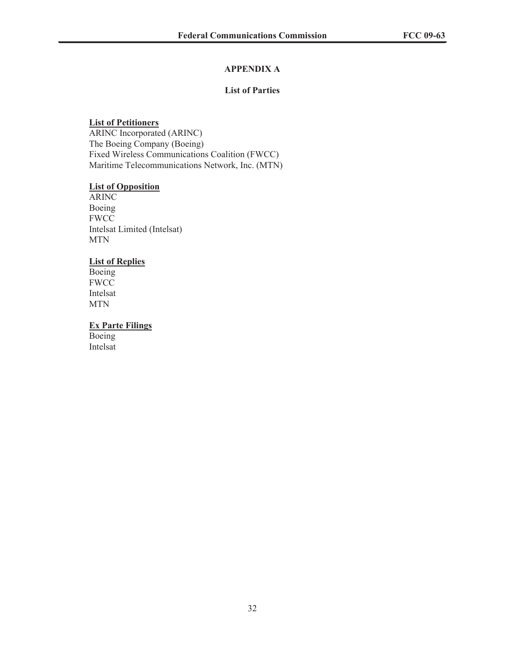# **APPENDIX A**

# **List of Parties**

# **List of Petitioners**

ARINC Incorporated (ARINC) The Boeing Company (Boeing) Fixed Wireless Communications Coalition (FWCC) Maritime Telecommunications Network, Inc. (MTN)

## **List of Opposition**

ARINC Boeing FWCC Intelsat Limited (Intelsat) MTN

## **List of Replies**

Boeing FWCC Intelsat MTN

# **Ex Parte Filings**

Boeing Intelsat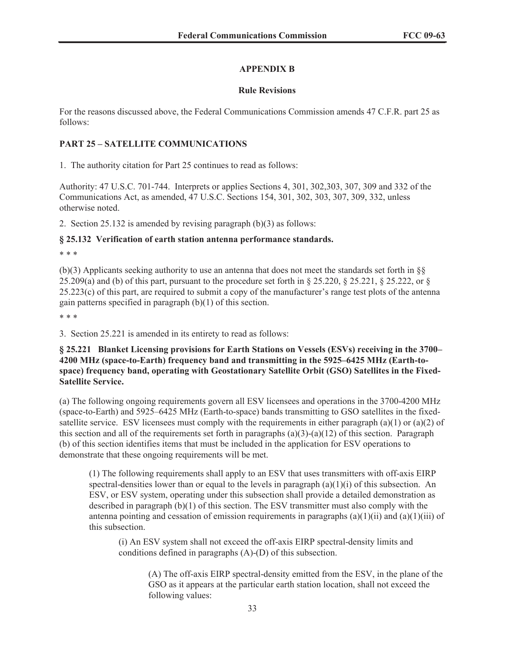# **APPENDIX B**

# **Rule Revisions**

For the reasons discussed above, the Federal Communications Commission amends 47 C.F.R. part 25 as follows:

# **PART 25 – SATELLITE COMMUNICATIONS**

1. The authority citation for Part 25 continues to read as follows:

Authority: 47 U.S.C. 701-744. Interprets or applies Sections 4, 301, 302,303, 307, 309 and 332 of the Communications Act, as amended, 47 U.S.C. Sections 154, 301, 302, 303, 307, 309, 332, unless otherwise noted.

2. Section 25.132 is amended by revising paragraph (b)(3) as follows:

# **§ 25.132 Verification of earth station antenna performance standards.**

\* \* \*

(b)(3) Applicants seeking authority to use an antenna that does not meet the standards set forth in §§ 25.209(a) and (b) of this part, pursuant to the procedure set forth in § 25.220, § 25.221, § 25.222, or §  $25.223(c)$  of this part, are required to submit a copy of the manufacturer's range test plots of the antenna gain patterns specified in paragraph (b)(1) of this section.

\* \* \*

3. Section 25.221 is amended in its entirety to read as follows:

**§ 25.221 Blanket Licensing provisions for Earth Stations on Vessels (ESVs) receiving in the 3700– 4200 MHz (space-to-Earth) frequency band and transmitting in the 5925–6425 MHz (Earth-tospace) frequency band, operating with Geostationary Satellite Orbit (GSO) Satellites in the Fixed-Satellite Service.**

(a) The following ongoing requirements govern all ESV licensees and operations in the 3700-4200 MHz (space-to-Earth) and 5925–6425 MHz (Earth-to-space) bands transmitting to GSO satellites in the fixedsatellite service. ESV licensees must comply with the requirements in either paragraph (a)(1) or (a)(2) of this section and all of the requirements set forth in paragraphs  $(a)(3)-(a)(12)$  of this section. Paragraph (b) of this section identifies items that must be included in the application for ESV operations to demonstrate that these ongoing requirements will be met.

(1) The following requirements shall apply to an ESV that uses transmitters with off-axis EIRP spectral-densities lower than or equal to the levels in paragraph  $(a)(1)(i)$  of this subsection. An ESV, or ESV system, operating under this subsection shall provide a detailed demonstration as described in paragraph (b)(1) of this section. The ESV transmitter must also comply with the antenna pointing and cessation of emission requirements in paragraphs  $(a)(1)(ii)$  and  $(a)(1)(iii)$  of this subsection.

(i) An ESV system shall not exceed the off-axis EIRP spectral-density limits and conditions defined in paragraphs (A)-(D) of this subsection.

(A) The off-axis EIRP spectral-density emitted from the ESV, in the plane of the GSO as it appears at the particular earth station location, shall not exceed the following values: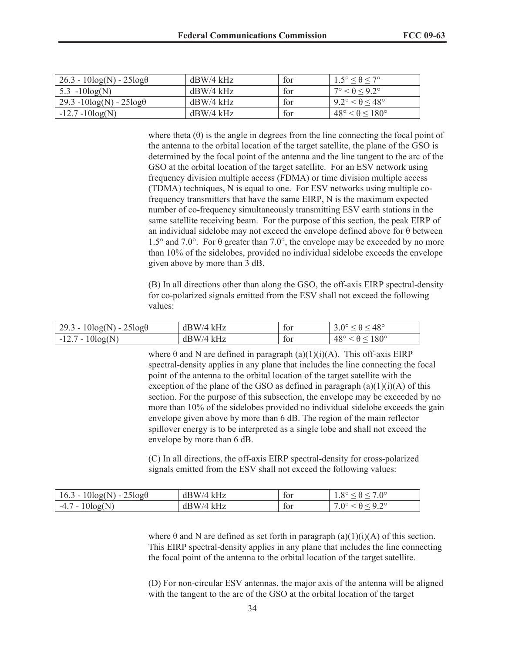| $26.3 - 10\log(N) - 25\log(\theta)$ | dBW/4 kHz   | for | $1.5^{\circ} \leq \theta \leq 7^{\circ}$ |
|-------------------------------------|-------------|-----|------------------------------------------|
| 5.3 $-10\log(N)$                    | $dBW/4$ kHz | for | $17^{\circ} < \theta < 9.2^{\circ}$      |
| $29.3 - 10\log(N) - 25\log\theta$   | dBW/4 kHz   | for | $9.2^\circ < \theta \leq 48^\circ$       |
| $-12.7 - 10\log(N)$                 | $dBW/4$ kHz | for | $48^\circ < \theta \leq 180^\circ$       |

where theta  $(\theta)$  is the angle in degrees from the line connecting the focal point of the antenna to the orbital location of the target satellite, the plane of the GSO is determined by the focal point of the antenna and the line tangent to the arc of the GSO at the orbital location of the target satellite. For an ESV network using frequency division multiple access (FDMA) or time division multiple access (TDMA) techniques, N is equal to one. For ESV networks using multiple cofrequency transmitters that have the same EIRP, N is the maximum expected number of co-frequency simultaneously transmitting ESV earth stations in the same satellite receiving beam. For the purpose of this section, the peak EIRP of an individual sidelobe may not exceed the envelope defined above for  $\theta$  between 1.5° and 7.0°. For θ greater than 7.0°, the envelope may be exceeded by no more than 10% of the sidelobes, provided no individual sidelobe exceeds the envelope given above by more than 3 dB.

(B) In all directions other than along the GSO, the off-axis EIRP spectral-density for co-polarized signals emitted from the ESV shall not exceed the following values:

| $29.3 - 10\log(N) - 25\log(\theta)$ | $dBW/4$ kHz | tor | $3.0^{\circ} \le \theta \le 48^{\circ}$        |
|-------------------------------------|-------------|-----|------------------------------------------------|
| $-12.7 - 10\log(N)$                 | $dBW/4$ kHz | tor | $\leq \theta \leq 180^{\circ}$<br>$48^{\circ}$ |

where  $\theta$  and N are defined in paragraph (a)(1)(i)(A). This off-axis EIRP spectral-density applies in any plane that includes the line connecting the focal point of the antenna to the orbital location of the target satellite with the exception of the plane of the GSO as defined in paragraph  $(a)(1)(i)(A)$  of this section. For the purpose of this subsection, the envelope may be exceeded by no more than 10% of the sidelobes provided no individual sidelobe exceeds the gain envelope given above by more than 6 dB. The region of the main reflector spillover energy is to be interpreted as a single lobe and shall not exceed the envelope by more than 6 dB.

(C) In all directions, the off-axis EIRP spectral-density for cross-polarized signals emitted from the ESV shall not exceed the following values:

| $16.3 - 10\log(N) - 25\log(\theta)$ | $dBW/4$ kHz | tor | $\circ$<br>1.0               |
|-------------------------------------|-------------|-----|------------------------------|
| $10\log(N)$<br>$-4.7 -$             | $dBW/4$ kHz | tor | $.0^{\circ}$<br>$\mathbf{H}$ |

where  $\theta$  and N are defined as set forth in paragraph (a)(1)(i)(A) of this section. This EIRP spectral-density applies in any plane that includes the line connecting the focal point of the antenna to the orbital location of the target satellite.

(D) For non-circular ESV antennas, the major axis of the antenna will be aligned with the tangent to the arc of the GSO at the orbital location of the target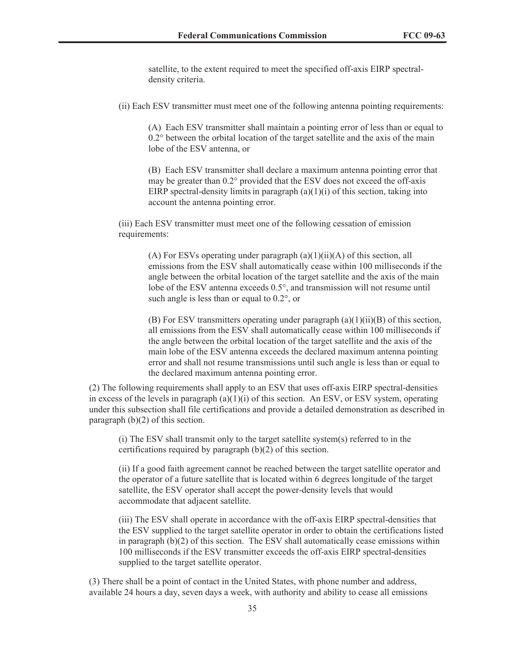satellite, to the extent required to meet the specified off-axis EIRP spectraldensity criteria.

(ii) Each ESV transmitter must meet one of the following antenna pointing requirements:

(A) Each ESV transmitter shall maintain a pointing error of less than or equal to 0.2° between the orbital location of the target satellite and the axis of the main lobe of the ESV antenna, or

(B) Each ESV transmitter shall declare a maximum antenna pointing error that may be greater than 0.2° provided that the ESV does not exceed the off-axis EIRP spectral-density limits in paragraph  $(a)(1)(i)$  of this section, taking into account the antenna pointing error.

(iii) Each ESV transmitter must meet one of the following cessation of emission requirements:

> (A) For ESVs operating under paragraph  $(a)(1)(ii)(A)$  of this section, all emissions from the ESV shall automatically cease within 100 milliseconds if the angle between the orbital location of the target satellite and the axis of the main lobe of the ESV antenna exceeds 0.5°, and transmission will not resume until such angle is less than or equal to 0.2°, or

> (B) For ESV transmitters operating under paragraph  $(a)(1)(ii)(B)$  of this section, all emissions from the ESV shall automatically cease within 100 milliseconds if the angle between the orbital location of the target satellite and the axis of the main lobe of the ESV antenna exceeds the declared maximum antenna pointing error and shall not resume transmissions until such angle is less than or equal to the declared maximum antenna pointing error.

(2) The following requirements shall apply to an ESV that uses off-axis EIRP spectral-densities in excess of the levels in paragraph  $(a)(1)(i)$  of this section. An ESV, or ESV system, operating under this subsection shall file certifications and provide a detailed demonstration as described in paragraph  $(b)(2)$  of this section.

(i) The ESV shall transmit only to the target satellite system(s) referred to in the certifications required by paragraph (b)(2) of this section.

(ii) If a good faith agreement cannot be reached between the target satellite operator and the operator of a future satellite that is located within 6 degrees longitude of the target satellite, the ESV operator shall accept the power-density levels that would accommodate that adjacent satellite.

(iii) The ESV shall operate in accordance with the off-axis EIRP spectral-densities that the ESV supplied to the target satellite operator in order to obtain the certifications listed in paragraph  $(b)(2)$  of this section. The ESV shall automatically cease emissions within 100 milliseconds if the ESV transmitter exceeds the off-axis EIRP spectral-densities supplied to the target satellite operator.

(3) There shall be a point of contact in the United States, with phone number and address, available 24 hours a day, seven days a week, with authority and ability to cease all emissions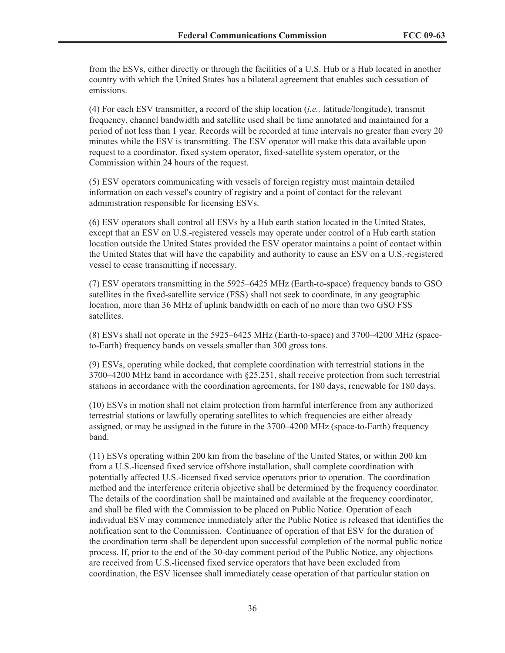from the ESVs, either directly or through the facilities of a U.S. Hub or a Hub located in another country with which the United States has a bilateral agreement that enables such cessation of emissions.

(4) For each ESV transmitter, a record of the ship location (*i.e.,* latitude/longitude), transmit frequency, channel bandwidth and satellite used shall be time annotated and maintained for a period of not less than 1 year. Records will be recorded at time intervals no greater than every 20 minutes while the ESV is transmitting. The ESV operator will make this data available upon request to a coordinator, fixed system operator, fixed-satellite system operator, or the Commission within 24 hours of the request.

(5) ESV operators communicating with vessels of foreign registry must maintain detailed information on each vessel's country of registry and a point of contact for the relevant administration responsible for licensing ESVs.

(6) ESV operators shall control all ESVs by a Hub earth station located in the United States, except that an ESV on U.S.-registered vessels may operate under control of a Hub earth station location outside the United States provided the ESV operator maintains a point of contact within the United States that will have the capability and authority to cause an ESV on a U.S.-registered vessel to cease transmitting if necessary.

(7) ESV operators transmitting in the 5925–6425 MHz (Earth-to-space) frequency bands to GSO satellites in the fixed-satellite service (FSS) shall not seek to coordinate, in any geographic location, more than 36 MHz of uplink bandwidth on each of no more than two GSO FSS satellites.

(8) ESVs shall not operate in the 5925–6425 MHz (Earth-to-space) and 3700–4200 MHz (spaceto-Earth) frequency bands on vessels smaller than 300 gross tons.

(9) ESVs, operating while docked, that complete coordination with terrestrial stations in the 3700–4200 MHz band in accordance with §25.251, shall receive protection from such terrestrial stations in accordance with the coordination agreements, for 180 days, renewable for 180 days.

(10) ESVs in motion shall not claim protection from harmful interference from any authorized terrestrial stations or lawfully operating satellites to which frequencies are either already assigned, or may be assigned in the future in the 3700–4200 MHz (space-to-Earth) frequency band.

(11) ESVs operating within 200 km from the baseline of the United States, or within 200 km from a U.S.-licensed fixed service offshore installation, shall complete coordination with potentially affected U.S.-licensed fixed service operators prior to operation. The coordination method and the interference criteria objective shall be determined by the frequency coordinator. The details of the coordination shall be maintained and available at the frequency coordinator, and shall be filed with the Commission to be placed on Public Notice. Operation of each individual ESV may commence immediately after the Public Notice is released that identifies the notification sent to the Commission. Continuance of operation of that ESV for the duration of the coordination term shall be dependent upon successful completion of the normal public notice process. If, prior to the end of the 30-day comment period of the Public Notice, any objections are received from U.S.-licensed fixed service operators that have been excluded from coordination, the ESV licensee shall immediately cease operation of that particular station on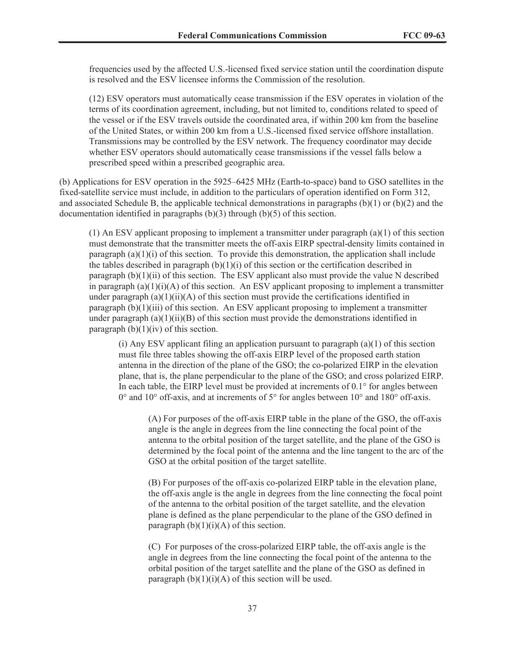frequencies used by the affected U.S.-licensed fixed service station until the coordination dispute is resolved and the ESV licensee informs the Commission of the resolution.

(12) ESV operators must automatically cease transmission if the ESV operates in violation of the terms of its coordination agreement, including, but not limited to, conditions related to speed of the vessel or if the ESV travels outside the coordinated area, if within 200 km from the baseline of the United States, or within 200 km from a U.S.-licensed fixed service offshore installation. Transmissions may be controlled by the ESV network. The frequency coordinator may decide whether ESV operators should automatically cease transmissions if the vessel falls below a prescribed speed within a prescribed geographic area.

(b) Applications for ESV operation in the 5925–6425 MHz (Earth-to-space) band to GSO satellites in the fixed-satellite service must include, in addition to the particulars of operation identified on Form 312, and associated Schedule B, the applicable technical demonstrations in paragraphs  $(b)(1)$  or  $(b)(2)$  and the documentation identified in paragraphs (b)(3) through (b)(5) of this section.

 $(1)$  An ESV applicant proposing to implement a transmitter under paragraph  $(a)(1)$  of this section must demonstrate that the transmitter meets the off-axis EIRP spectral-density limits contained in paragraph  $(a)(1)(i)$  of this section. To provide this demonstration, the application shall include the tables described in paragraph  $(b)(1)(i)$  of this section or the certification described in paragraph  $(b)(1)(ii)$  of this section. The ESV applicant also must provide the value N described in paragraph  $(a)(1)(i)(A)$  of this section. An ESV applicant proposing to implement a transmitter under paragraph (a)(1)(ii)(A) of this section must provide the certifications identified in paragraph  $(b)(1)(iii)$  of this section. An ESV applicant proposing to implement a transmitter under paragraph  $(a)(1)(ii)(B)$  of this section must provide the demonstrations identified in paragraph  $(b)(1)(iv)$  of this section.

(i) Any ESV applicant filing an application pursuant to paragraph  $(a)(1)$  of this section must file three tables showing the off-axis EIRP level of the proposed earth station antenna in the direction of the plane of the GSO; the co-polarized EIRP in the elevation plane, that is, the plane perpendicular to the plane of the GSO; and cross polarized EIRP. In each table, the EIRP level must be provided at increments of  $0.1^{\circ}$  for angles between 0° and 10° off-axis, and at increments of 5° for angles between 10° and 180° off-axis.

(A) For purposes of the off-axis EIRP table in the plane of the GSO, the off-axis angle is the angle in degrees from the line connecting the focal point of the antenna to the orbital position of the target satellite, and the plane of the GSO is determined by the focal point of the antenna and the line tangent to the arc of the GSO at the orbital position of the target satellite.

(B) For purposes of the off-axis co-polarized EIRP table in the elevation plane, the off-axis angle is the angle in degrees from the line connecting the focal point of the antenna to the orbital position of the target satellite, and the elevation plane is defined as the plane perpendicular to the plane of the GSO defined in paragraph  $(b)(1)(i)(A)$  of this section.

(C) For purposes of the cross-polarized EIRP table, the off-axis angle is the angle in degrees from the line connecting the focal point of the antenna to the orbital position of the target satellite and the plane of the GSO as defined in paragraph  $(b)(1)(i)(A)$  of this section will be used.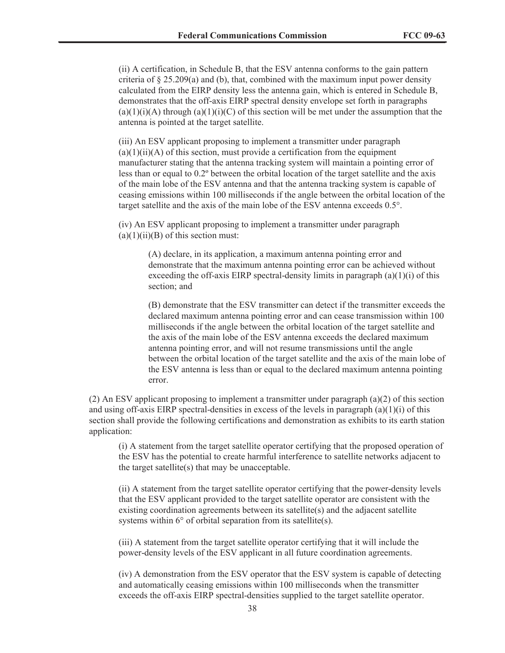(ii) A certification, in Schedule B, that the ESV antenna conforms to the gain pattern criteria of  $\S 25.209(a)$  and (b), that, combined with the maximum input power density calculated from the EIRP density less the antenna gain, which is entered in Schedule B, demonstrates that the off-axis EIRP spectral density envelope set forth in paragraphs  $(a)(1)(i)(A)$  through  $(a)(1)(i)(C)$  of this section will be met under the assumption that the antenna is pointed at the target satellite.

(iii) An ESV applicant proposing to implement a transmitter under paragraph  $(a)(1)(ii)(A)$  of this section, must provide a certification from the equipment manufacturer stating that the antenna tracking system will maintain a pointing error of less than or equal to 0.2º between the orbital location of the target satellite and the axis of the main lobe of the ESV antenna and that the antenna tracking system is capable of ceasing emissions within 100 milliseconds if the angle between the orbital location of the target satellite and the axis of the main lobe of the ESV antenna exceeds 0.5°.

(iv) An ESV applicant proposing to implement a transmitter under paragraph  $(a)(1)(ii)(B)$  of this section must:

> (A) declare, in its application, a maximum antenna pointing error and demonstrate that the maximum antenna pointing error can be achieved without exceeding the off-axis EIRP spectral-density limits in paragraph  $(a)(1)(i)$  of this section; and

(B) demonstrate that the ESV transmitter can detect if the transmitter exceeds the declared maximum antenna pointing error and can cease transmission within 100 milliseconds if the angle between the orbital location of the target satellite and the axis of the main lobe of the ESV antenna exceeds the declared maximum antenna pointing error, and will not resume transmissions until the angle between the orbital location of the target satellite and the axis of the main lobe of the ESV antenna is less than or equal to the declared maximum antenna pointing error.

(2) An ESV applicant proposing to implement a transmitter under paragraph  $(a)(2)$  of this section and using off-axis EIRP spectral-densities in excess of the levels in paragraph  $(a)(1)(i)$  of this section shall provide the following certifications and demonstration as exhibits to its earth station application:

(i) A statement from the target satellite operator certifying that the proposed operation of the ESV has the potential to create harmful interference to satellite networks adjacent to the target satellite(s) that may be unacceptable.

(ii) A statement from the target satellite operator certifying that the power-density levels that the ESV applicant provided to the target satellite operator are consistent with the existing coordination agreements between its satellite $(s)$  and the adjacent satellite systems within 6° of orbital separation from its satellite(s).

(iii) A statement from the target satellite operator certifying that it will include the power-density levels of the ESV applicant in all future coordination agreements.

(iv) A demonstration from the ESV operator that the ESV system is capable of detecting and automatically ceasing emissions within 100 milliseconds when the transmitter exceeds the off-axis EIRP spectral-densities supplied to the target satellite operator.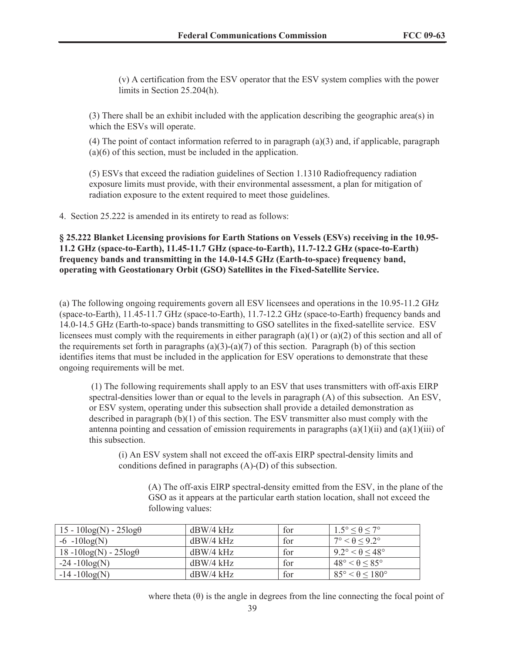(v) A certification from the ESV operator that the ESV system complies with the power limits in Section 25.204(h).

(3) There shall be an exhibit included with the application describing the geographic area(s) in which the ESVs will operate.

(4) The point of contact information referred to in paragraph (a)(3) and, if applicable, paragraph (a)(6) of this section, must be included in the application.

(5) ESVs that exceed the radiation guidelines of Section 1.1310 Radiofrequency radiation exposure limits must provide, with their environmental assessment, a plan for mitigation of radiation exposure to the extent required to meet those guidelines.

4. Section 25.222 is amended in its entirety to read as follows:

**§ 25.222 Blanket Licensing provisions for Earth Stations on Vessels (ESVs) receiving in the 10.95- 11.2 GHz (space-to-Earth), 11.45-11.7 GHz (space-to-Earth), 11.7-12.2 GHz (space-to-Earth) frequency bands and transmitting in the 14.0-14.5 GHz (Earth-to-space) frequency band, operating with Geostationary Orbit (GSO) Satellites in the Fixed-Satellite Service.**

(a) The following ongoing requirements govern all ESV licensees and operations in the 10.95-11.2 GHz (space-to-Earth), 11.45-11.7 GHz (space-to-Earth), 11.7-12.2 GHz (space-to-Earth) frequency bands and 14.0-14.5 GHz (Earth-to-space) bands transmitting to GSO satellites in the fixed-satellite service. ESV licensees must comply with the requirements in either paragraph (a)(1) or (a)(2) of this section and all of the requirements set forth in paragraphs (a)(3)-(a)(7) of this section. Paragraph (b) of this section identifies items that must be included in the application for ESV operations to demonstrate that these ongoing requirements will be met.

(1) The following requirements shall apply to an ESV that uses transmitters with off-axis EIRP spectral-densities lower than or equal to the levels in paragraph (A) of this subsection. An ESV, or ESV system, operating under this subsection shall provide a detailed demonstration as described in paragraph (b)(1) of this section. The ESV transmitter also must comply with the antenna pointing and cessation of emission requirements in paragraphs  $(a)(1)(ii)$  and  $(a)(1)(iii)$  of this subsection.

(i) An ESV system shall not exceed the off-axis EIRP spectral-density limits and conditions defined in paragraphs (A)-(D) of this subsection.

(A) The off-axis EIRP spectral-density emitted from the ESV, in the plane of the GSO as it appears at the particular earth station location, shall not exceed the following values:

| $15 - 10\log(N) - 25\log(\theta)$ | $dBW/4$ kHz | for | $1.5^{\circ} \leq \theta \leq 7^{\circ}$ |
|-----------------------------------|-------------|-----|------------------------------------------|
| $-6 - 10\log(N)$                  | $dBW/4$ kHz | for | $7^{\circ} < \theta < 9.2^{\circ}$       |
| $18 - 10\log(N) - 25\log(\theta)$ | $dBW/4$ kHz | for | $9.2^{\circ} < \theta \leq 48^{\circ}$   |
| $-24 - 10\log(N)$                 | $dBW/4$ kHz | for | $48^{\circ} < \theta < 85^{\circ}$       |
| $-14 - 10\log(N)$                 | $dBW/4$ kHz | for | $85^\circ < \theta \leq 180^\circ$       |

where theta  $(\theta)$  is the angle in degrees from the line connecting the focal point of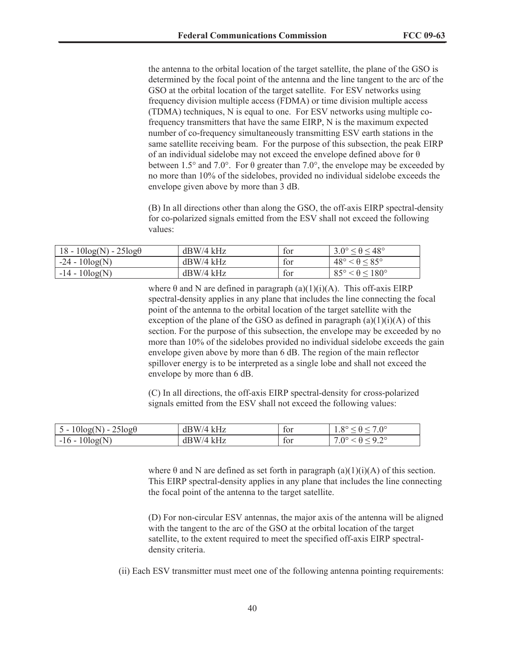the antenna to the orbital location of the target satellite, the plane of the GSO is determined by the focal point of the antenna and the line tangent to the arc of the GSO at the orbital location of the target satellite. For ESV networks using frequency division multiple access (FDMA) or time division multiple access (TDMA) techniques, N is equal to one. For ESV networks using multiple cofrequency transmitters that have the same EIRP, N is the maximum expected number of co-frequency simultaneously transmitting ESV earth stations in the same satellite receiving beam. For the purpose of this subsection, the peak EIRP of an individual sidelobe may not exceed the envelope defined above for θ between 1.5° and 7.0°. For  $\theta$  greater than 7.0°, the envelope may be exceeded by no more than 10% of the sidelobes, provided no individual sidelobe exceeds the envelope given above by more than 3 dB.

(B) In all directions other than along the GSO, the off-axis EIRP spectral-density for co-polarized signals emitted from the ESV shall not exceed the following values:

| $18 - 10\log(N) - 25\log(\theta)$ | $dBW/4$ kHz | for | $3.0^{\circ} \le \theta \le 48^{\circ}$ |
|-----------------------------------|-------------|-----|-----------------------------------------|
| $-24 - 10\log(N)$                 | $dBW/4$ kHz | for | $48^\circ < \theta \leq 85^\circ$       |
| $-14 - 10\log(N)$                 | $dBW/4$ kHz | for | $85^{\circ} < \theta \leq 180^{\circ}$  |

where  $\theta$  and N are defined in paragraph (a)(1)(i)(A). This off-axis EIRP spectral-density applies in any plane that includes the line connecting the focal point of the antenna to the orbital location of the target satellite with the exception of the plane of the GSO as defined in paragraph  $(a)(1)(i)(A)$  of this section. For the purpose of this subsection, the envelope may be exceeded by no more than 10% of the sidelobes provided no individual sidelobe exceeds the gain envelope given above by more than 6 dB. The region of the main reflector spillover energy is to be interpreted as a single lobe and shall not exceed the envelope by more than 6 dB.

(C) In all directions, the off-axis EIRP spectral-density for cross-polarized signals emitted from the ESV shall not exceed the following values:

| $25\log\theta$<br>10log(1)<br>. .<br>$\overline{\phantom{a}}$ | kHz<br>dВ.<br>W/4 | tor | $7.0^\circ$<br>$\Omega$<br>1.0 |
|---------------------------------------------------------------|-------------------|-----|--------------------------------|
| ال <i>م</i> ما،<br>1 G<br>$-10 -$<br>10 <sup>2</sup>          | kHz<br>W/4<br>dВ  | tor | റ റാ<br>$.0^{\circ}$<br>ے .    |

where  $\theta$  and N are defined as set forth in paragraph (a)(1)(i)(A) of this section. This EIRP spectral-density applies in any plane that includes the line connecting the focal point of the antenna to the target satellite.

(D) For non-circular ESV antennas, the major axis of the antenna will be aligned with the tangent to the arc of the GSO at the orbital location of the target satellite, to the extent required to meet the specified off-axis EIRP spectraldensity criteria.

(ii) Each ESV transmitter must meet one of the following antenna pointing requirements: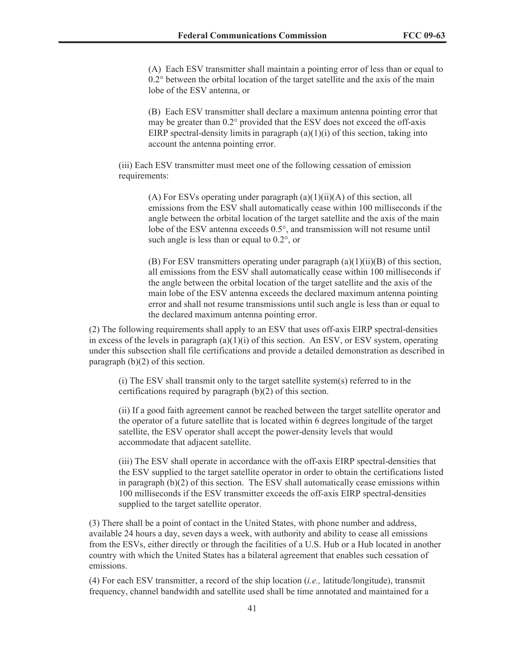(A) Each ESV transmitter shall maintain a pointing error of less than or equal to 0.2° between the orbital location of the target satellite and the axis of the main lobe of the ESV antenna, or

(B) Each ESV transmitter shall declare a maximum antenna pointing error that may be greater than 0.2° provided that the ESV does not exceed the off-axis EIRP spectral-density limits in paragraph  $(a)(1)(i)$  of this section, taking into account the antenna pointing error.

(iii) Each ESV transmitter must meet one of the following cessation of emission requirements:

> (A) For ESVs operating under paragraph  $(a)(1)(ii)(A)$  of this section, all emissions from the ESV shall automatically cease within 100 milliseconds if the angle between the orbital location of the target satellite and the axis of the main lobe of the ESV antenna exceeds 0.5°, and transmission will not resume until such angle is less than or equal to 0.2°, or

> (B) For ESV transmitters operating under paragraph  $(a)(1)(ii)(B)$  of this section, all emissions from the ESV shall automatically cease within 100 milliseconds if the angle between the orbital location of the target satellite and the axis of the main lobe of the ESV antenna exceeds the declared maximum antenna pointing error and shall not resume transmissions until such angle is less than or equal to the declared maximum antenna pointing error.

(2) The following requirements shall apply to an ESV that uses off-axis EIRP spectral-densities in excess of the levels in paragraph (a)(1)(i) of this section. An ESV, or ESV system, operating under this subsection shall file certifications and provide a detailed demonstration as described in paragraph (b)(2) of this section.

(i) The ESV shall transmit only to the target satellite system(s) referred to in the certifications required by paragraph (b)(2) of this section.

(ii) If a good faith agreement cannot be reached between the target satellite operator and the operator of a future satellite that is located within 6 degrees longitude of the target satellite, the ESV operator shall accept the power-density levels that would accommodate that adjacent satellite.

(iii) The ESV shall operate in accordance with the off-axis EIRP spectral-densities that the ESV supplied to the target satellite operator in order to obtain the certifications listed in paragraph  $(b)(2)$  of this section. The ESV shall automatically cease emissions within 100 milliseconds if the ESV transmitter exceeds the off-axis EIRP spectral-densities supplied to the target satellite operator.

(3) There shall be a point of contact in the United States, with phone number and address, available 24 hours a day, seven days a week, with authority and ability to cease all emissions from the ESVs, either directly or through the facilities of a U.S. Hub or a Hub located in another country with which the United States has a bilateral agreement that enables such cessation of emissions.

(4) For each ESV transmitter, a record of the ship location (*i.e.,* latitude/longitude), transmit frequency, channel bandwidth and satellite used shall be time annotated and maintained for a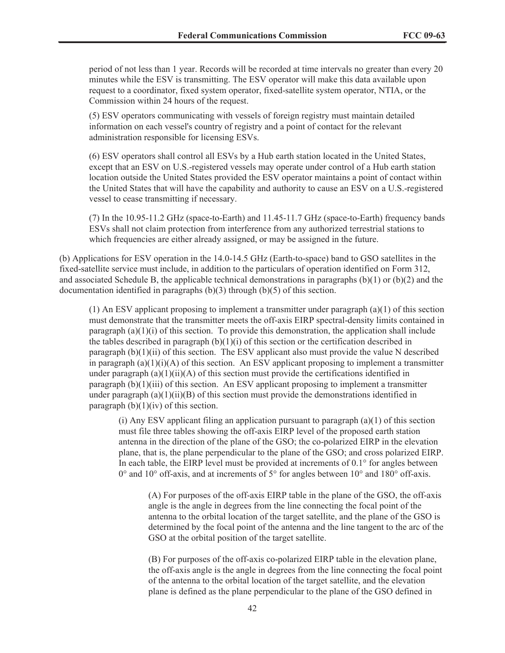period of not less than 1 year. Records will be recorded at time intervals no greater than every 20 minutes while the ESV is transmitting. The ESV operator will make this data available upon request to a coordinator, fixed system operator, fixed-satellite system operator, NTIA, or the Commission within 24 hours of the request.

(5) ESV operators communicating with vessels of foreign registry must maintain detailed information on each vessel's country of registry and a point of contact for the relevant administration responsible for licensing ESVs.

(6) ESV operators shall control all ESVs by a Hub earth station located in the United States, except that an ESV on U.S.-registered vessels may operate under control of a Hub earth station location outside the United States provided the ESV operator maintains a point of contact within the United States that will have the capability and authority to cause an ESV on a U.S.-registered vessel to cease transmitting if necessary.

(7) In the 10.95-11.2 GHz (space-to-Earth) and 11.45-11.7 GHz (space-to-Earth) frequency bands ESVs shall not claim protection from interference from any authorized terrestrial stations to which frequencies are either already assigned, or may be assigned in the future.

(b) Applications for ESV operation in the 14.0-14.5 GHz (Earth-to-space) band to GSO satellites in the fixed-satellite service must include, in addition to the particulars of operation identified on Form 312, and associated Schedule B, the applicable technical demonstrations in paragraphs (b)(1) or (b)(2) and the documentation identified in paragraphs (b)(3) through (b)(5) of this section.

 $(1)$  An ESV applicant proposing to implement a transmitter under paragraph  $(a)(1)$  of this section must demonstrate that the transmitter meets the off-axis EIRP spectral-density limits contained in paragraph  $(a)(1)(i)$  of this section. To provide this demonstration, the application shall include the tables described in paragraph  $(b)(1)(i)$  of this section or the certification described in paragraph  $(b)(1)(ii)$  of this section. The ESV applicant also must provide the value N described in paragraph  $(a)(1)(i)(A)$  of this section. An ESV applicant proposing to implement a transmitter under paragraph  $(a)(1)(ii)(A)$  of this section must provide the certifications identified in paragraph  $(b)(1)(iii)$  of this section. An ESV applicant proposing to implement a transmitter under paragraph  $(a)(1)(ii)(B)$  of this section must provide the demonstrations identified in paragraph  $(b)(1)(iv)$  of this section.

(i) Any ESV applicant filing an application pursuant to paragraph  $(a)(1)$  of this section must file three tables showing the off-axis EIRP level of the proposed earth station antenna in the direction of the plane of the GSO; the co-polarized EIRP in the elevation plane, that is, the plane perpendicular to the plane of the GSO; and cross polarized EIRP. In each table, the EIRP level must be provided at increments of 0.1° for angles between 0° and 10° off-axis, and at increments of 5° for angles between 10° and 180° off-axis.

(A) For purposes of the off-axis EIRP table in the plane of the GSO, the off-axis angle is the angle in degrees from the line connecting the focal point of the antenna to the orbital location of the target satellite, and the plane of the GSO is determined by the focal point of the antenna and the line tangent to the arc of the GSO at the orbital position of the target satellite.

(B) For purposes of the off-axis co-polarized EIRP table in the elevation plane, the off-axis angle is the angle in degrees from the line connecting the focal point of the antenna to the orbital location of the target satellite, and the elevation plane is defined as the plane perpendicular to the plane of the GSO defined in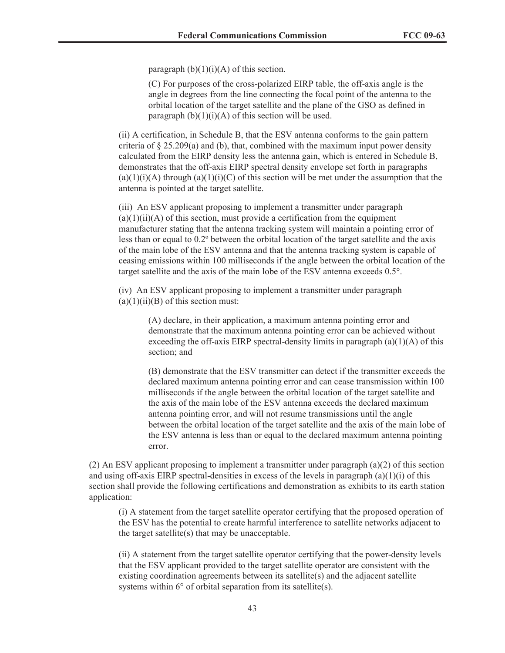paragraph  $(b)(1)(i)(A)$  of this section.

(C) For purposes of the cross-polarized EIRP table, the off-axis angle is the angle in degrees from the line connecting the focal point of the antenna to the orbital location of the target satellite and the plane of the GSO as defined in paragraph  $(b)(1)(i)(A)$  of this section will be used.

(ii) A certification, in Schedule B, that the ESV antenna conforms to the gain pattern criteria of  $\S 25.209(a)$  and (b), that, combined with the maximum input power density calculated from the EIRP density less the antenna gain, which is entered in Schedule B, demonstrates that the off-axis EIRP spectral density envelope set forth in paragraphs  $(a)(1)(i)(A)$  through  $(a)(1)(i)(C)$  of this section will be met under the assumption that the antenna is pointed at the target satellite.

(iii) An ESV applicant proposing to implement a transmitter under paragraph  $(a)(1)(ii)(A)$  of this section, must provide a certification from the equipment manufacturer stating that the antenna tracking system will maintain a pointing error of less than or equal to 0.2º between the orbital location of the target satellite and the axis of the main lobe of the ESV antenna and that the antenna tracking system is capable of ceasing emissions within 100 milliseconds if the angle between the orbital location of the target satellite and the axis of the main lobe of the ESV antenna exceeds 0.5°.

(iv) An ESV applicant proposing to implement a transmitter under paragraph  $(a)(1)(ii)(B)$  of this section must:

> (A) declare, in their application, a maximum antenna pointing error and demonstrate that the maximum antenna pointing error can be achieved without exceeding the off-axis EIRP spectral-density limits in paragraph  $(a)(1)(A)$  of this section; and

> (B) demonstrate that the ESV transmitter can detect if the transmitter exceeds the declared maximum antenna pointing error and can cease transmission within 100 milliseconds if the angle between the orbital location of the target satellite and the axis of the main lobe of the ESV antenna exceeds the declared maximum antenna pointing error, and will not resume transmissions until the angle between the orbital location of the target satellite and the axis of the main lobe of the ESV antenna is less than or equal to the declared maximum antenna pointing error.

(2) An ESV applicant proposing to implement a transmitter under paragraph (a)(2) of this section and using off-axis EIRP spectral-densities in excess of the levels in paragraph (a)(1)(i) of this section shall provide the following certifications and demonstration as exhibits to its earth station application:

(i) A statement from the target satellite operator certifying that the proposed operation of the ESV has the potential to create harmful interference to satellite networks adjacent to the target satellite(s) that may be unacceptable.

(ii) A statement from the target satellite operator certifying that the power-density levels that the ESV applicant provided to the target satellite operator are consistent with the existing coordination agreements between its satellite(s) and the adjacent satellite systems within 6° of orbital separation from its satellite(s).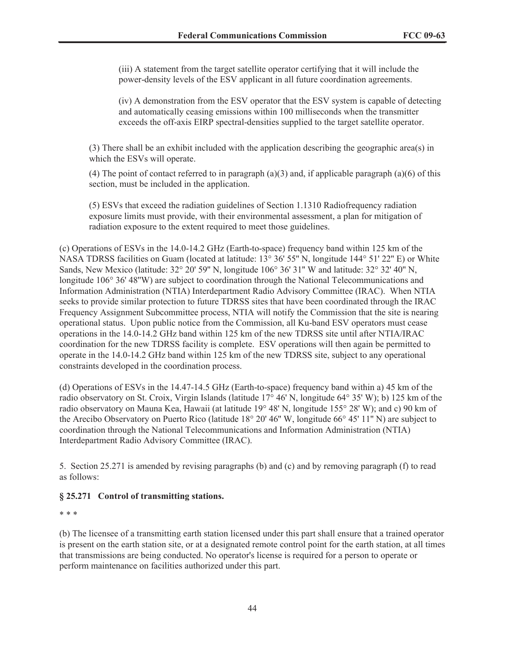(iii) A statement from the target satellite operator certifying that it will include the power-density levels of the ESV applicant in all future coordination agreements.

(iv) A demonstration from the ESV operator that the ESV system is capable of detecting and automatically ceasing emissions within 100 milliseconds when the transmitter exceeds the off-axis EIRP spectral-densities supplied to the target satellite operator.

(3) There shall be an exhibit included with the application describing the geographic area(s) in which the ESVs will operate.

(4) The point of contact referred to in paragraph (a)(3) and, if applicable paragraph (a)(6) of this section, must be included in the application.

(5) ESVs that exceed the radiation guidelines of Section 1.1310 Radiofrequency radiation exposure limits must provide, with their environmental assessment, a plan for mitigation of radiation exposure to the extent required to meet those guidelines.

(c) Operations of ESVs in the 14.0-14.2 GHz (Earth-to-space) frequency band within 125 km of the NASA TDRSS facilities on Guam (located at latitude: 13° 36' 55'' N, longitude 144° 51' 22'' E) or White Sands, New Mexico (latitude: 32° 20' 59'' N, longitude 106° 36' 31'' W and latitude: 32° 32' 40'' N, longitude 106° 36' 48''W) are subject to coordination through the National Telecommunications and Information Administration (NTIA) Interdepartment Radio Advisory Committee (IRAC). When NTIA seeks to provide similar protection to future TDRSS sites that have been coordinated through the IRAC Frequency Assignment Subcommittee process, NTIA will notify the Commission that the site is nearing operational status. Upon public notice from the Commission, all Ku-band ESV operators must cease operations in the 14.0-14.2 GHz band within 125 km of the new TDRSS site until after NTIA/IRAC coordination for the new TDRSS facility is complete. ESV operations will then again be permitted to operate in the 14.0-14.2 GHz band within 125 km of the new TDRSS site, subject to any operational constraints developed in the coordination process.

(d) Operations of ESVs in the 14.47-14.5 GHz (Earth-to-space) frequency band within a) 45 km of the radio observatory on St. Croix, Virgin Islands (latitude 17° 46' N, longitude 64° 35' W); b) 125 km of the radio observatory on Mauna Kea, Hawaii (at latitude 19° 48' N, longitude 155° 28' W); and c) 90 km of the Arecibo Observatory on Puerto Rico (latitude 18° 20' 46'' W, longitude 66° 45' 11'' N) are subject to coordination through the National Telecommunications and Information Administration (NTIA) Interdepartment Radio Advisory Committee (IRAC).

5. Section 25.271 is amended by revising paragraphs (b) and (c) and by removing paragraph (f) to read as follows:

# **§ 25.271 Control of transmitting stations.**

\* \* \*

(b) The licensee of a transmitting earth station licensed under this part shall ensure that a trained operator is present on the earth station site, or at a designated remote control point for the earth station, at all times that transmissions are being conducted. No operator's license is required for a person to operate or perform maintenance on facilities authorized under this part.